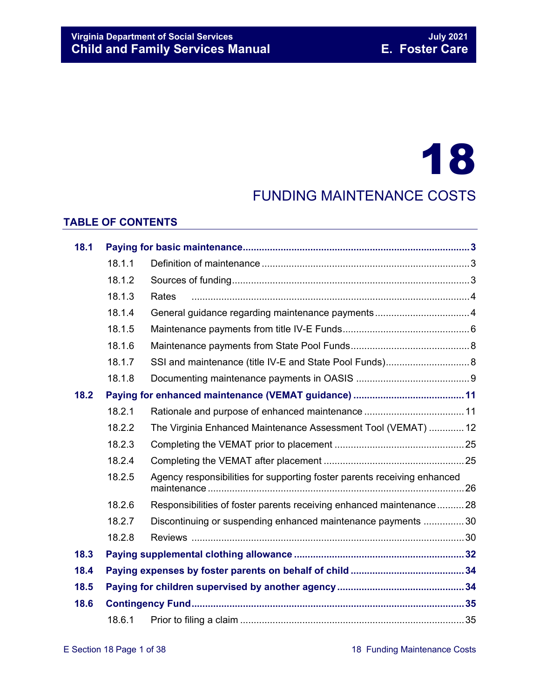# 18

# FUNDING MAINTENANCE COSTS

#### **TABLE OF CONTENTS**

| 18.1 |        |                                                                          |     |  |  |
|------|--------|--------------------------------------------------------------------------|-----|--|--|
|      | 18.1.1 |                                                                          |     |  |  |
|      | 18.1.2 |                                                                          |     |  |  |
|      | 18.1.3 | Rates                                                                    |     |  |  |
|      | 18.1.4 |                                                                          |     |  |  |
|      | 18.1.5 |                                                                          |     |  |  |
|      | 18.1.6 |                                                                          |     |  |  |
|      | 18.1.7 | SSI and maintenance (title IV-E and State Pool Funds) 8                  |     |  |  |
|      | 18.1.8 |                                                                          |     |  |  |
| 18.2 |        |                                                                          |     |  |  |
|      | 18.2.1 |                                                                          |     |  |  |
|      | 18.2.2 | The Virginia Enhanced Maintenance Assessment Tool (VEMAT)  12            |     |  |  |
|      | 18.2.3 |                                                                          |     |  |  |
|      | 18.2.4 |                                                                          |     |  |  |
|      | 18.2.5 | Agency responsibilities for supporting foster parents receiving enhanced | .26 |  |  |
|      | 18.2.6 | Responsibilities of foster parents receiving enhanced maintenance28      |     |  |  |
|      | 18.2.7 | Discontinuing or suspending enhanced maintenance payments 30             |     |  |  |
|      | 18.2.8 |                                                                          |     |  |  |
| 18.3 |        |                                                                          |     |  |  |
| 18.4 |        |                                                                          |     |  |  |
| 18.5 |        |                                                                          |     |  |  |
| 18.6 |        |                                                                          |     |  |  |
|      | 18.6.1 |                                                                          |     |  |  |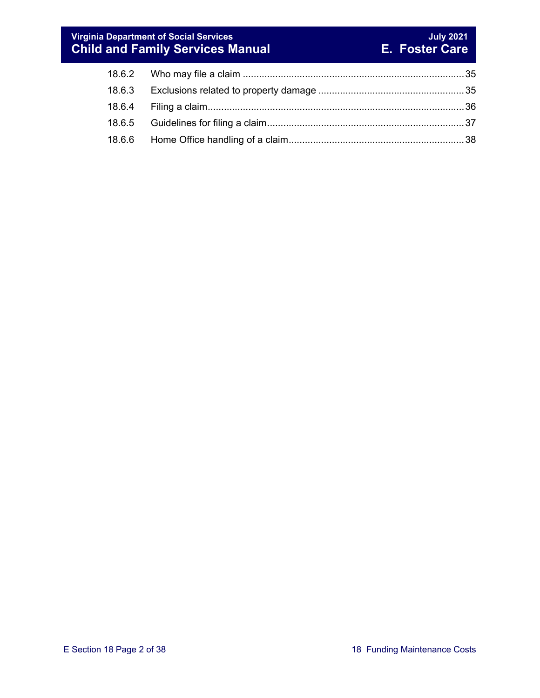#### **Virginia Department of Social Services July 2021 Child and Family Services Manual E. Foster Care**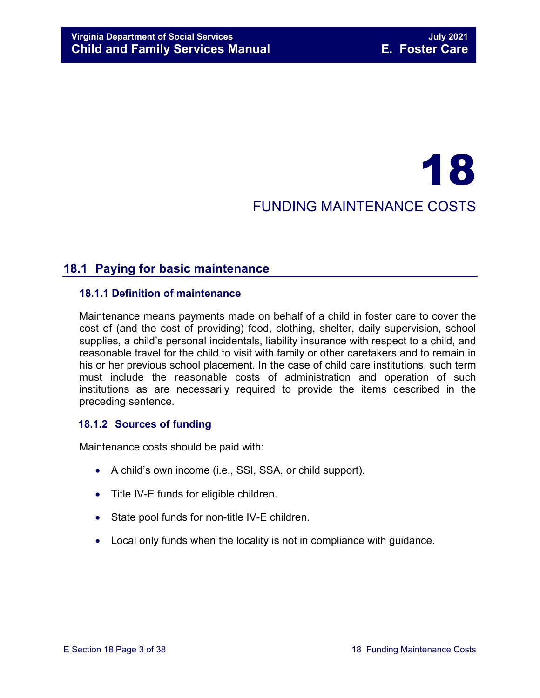# 18 FUNDING MAINTENANCE COSTS

# <span id="page-2-0"></span>**18.1 Paying for basic maintenance**

#### <span id="page-2-1"></span>**18.1.1 Definition of maintenance**

Maintenance means payments made on behalf of a child in foster care to cover the cost of (and the cost of providing) food, clothing, shelter, daily supervision, school supplies, a child's personal incidentals, liability insurance with respect to a child, and reasonable travel for the child to visit with family or other caretakers and to remain in his or her previous school placement. In the case of child care institutions, such term must include the reasonable costs of administration and operation of such institutions as are necessarily required to provide the items described in the preceding sentence.

#### <span id="page-2-2"></span>**18.1.2 Sources of funding**

Maintenance costs should be paid with:

- A child's own income (i.e., SSI, SSA, or child support).
- Title IV-E funds for eligible children.
- State pool funds for non-title IV-E children.
- Local only funds when the locality is not in compliance with guidance.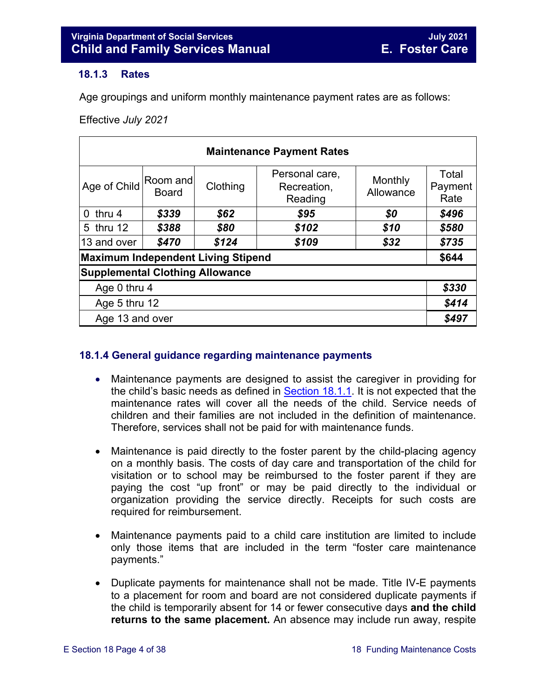#### <span id="page-3-2"></span><span id="page-3-0"></span>**18.1.3 Rates**

Age groupings and uniform monthly maintenance payment rates are as follows:

Effective *July 2021*

| <b>Maintenance Payment Rates</b>          |                   |          |                                          |                      |                          |  |  |  |  |  |
|-------------------------------------------|-------------------|----------|------------------------------------------|----------------------|--------------------------|--|--|--|--|--|
| Age of Child                              | Room and<br>Board | Clothing | Personal care,<br>Recreation,<br>Reading | Monthly<br>Allowance | Total<br>Payment<br>Rate |  |  |  |  |  |
| $0$ thru 4                                | \$339             | \$62     | \$95                                     | \$0                  | \$496                    |  |  |  |  |  |
| 5 thru 12                                 | \$388             | \$80     | \$102                                    | \$10                 | \$580                    |  |  |  |  |  |
| 13 and over                               | \$470             | \$124    | \$109                                    | \$32                 | \$735                    |  |  |  |  |  |
| <b>Maximum Independent Living Stipend</b> |                   |          |                                          |                      |                          |  |  |  |  |  |
| <b>Supplemental Clothing Allowance</b>    |                   |          |                                          |                      |                          |  |  |  |  |  |
| Age 0 thru 4                              |                   |          |                                          |                      |                          |  |  |  |  |  |
| Age 5 thru 12                             |                   |          |                                          |                      |                          |  |  |  |  |  |
| Age 13 and over                           |                   |          |                                          |                      |                          |  |  |  |  |  |

#### <span id="page-3-1"></span>**18.1.4 General guidance regarding maintenance payments**

- Maintenance payments are designed to assist the caregiver in providing for the child's basic needs as defined in [Section](#page-2-1)  $18.1.1$ . It is not expected that the maintenance rates will cover all the needs of the child. Service needs of children and their families are not included in the definition of maintenance. Therefore, services shall not be paid for with maintenance funds.
- Maintenance is paid directly to the foster parent by the child-placing agency on a monthly basis. The costs of day care and transportation of the child for visitation or to school may be reimbursed to the foster parent if they are paying the cost "up front" or may be paid directly to the individual or organization providing the service directly. Receipts for such costs are required for reimbursement.
- Maintenance payments paid to a child care institution are limited to include only those items that are included in the term "foster care maintenance payments."
- Duplicate payments for maintenance shall not be made. Title IV-E payments to a placement for room and board are not considered duplicate payments if the child is temporarily absent for 14 or fewer consecutive days **and the child returns to the same placement.** An absence may include run away, respite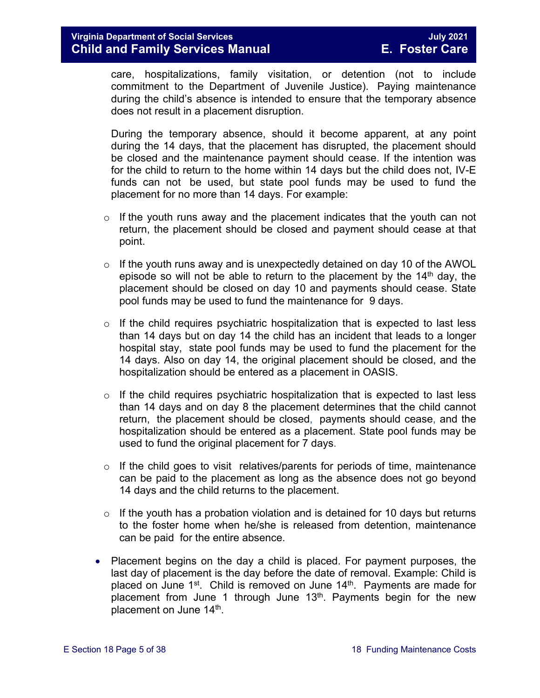care, hospitalizations, family visitation, or detention (not to include commitment to the Department of Juvenile Justice). Paying maintenance during the child's absence is intended to ensure that the temporary absence does not result in a placement disruption.

During the temporary absence, should it become apparent, at any point during the 14 days, that the placement has disrupted, the placement should be closed and the maintenance payment should cease. If the intention was for the child to return to the home within 14 days but the child does not, IV-E funds can not be used, but state pool funds may be used to fund the placement for no more than 14 days. For example:

- $\circ$  If the youth runs away and the placement indicates that the youth can not return, the placement should be closed and payment should cease at that point.
- $\circ$  If the youth runs away and is unexpectedly detained on day 10 of the AWOL episode so will not be able to return to the placement by the  $14<sup>th</sup>$  day, the placement should be closed on day 10 and payments should cease. State pool funds may be used to fund the maintenance for 9 days.
- $\circ$  If the child requires psychiatric hospitalization that is expected to last less than 14 days but on day 14 the child has an incident that leads to a longer hospital stay, state pool funds may be used to fund the placement for the 14 days. Also on day 14, the original placement should be closed, and the hospitalization should be entered as a placement in OASIS.
- $\circ$  If the child requires psychiatric hospitalization that is expected to last less than 14 days and on day 8 the placement determines that the child cannot return, the placement should be closed, payments should cease, and the hospitalization should be entered as a placement. State pool funds may be used to fund the original placement for 7 days.
- $\circ$  If the child goes to visit relatives/parents for periods of time, maintenance can be paid to the placement as long as the absence does not go beyond 14 days and the child returns to the placement.
- $\circ$  If the youth has a probation violation and is detained for 10 days but returns to the foster home when he/she is released from detention, maintenance can be paid for the entire absence.
- Placement begins on the day a child is placed. For payment purposes, the last day of placement is the day before the date of removal. Example: Child is placed on June  $1<sup>st</sup>$ . Child is removed on June  $14<sup>th</sup>$ . Payments are made for placement from June 1 through June  $13<sup>th</sup>$ . Payments begin for the new placement on June 14<sup>th</sup>.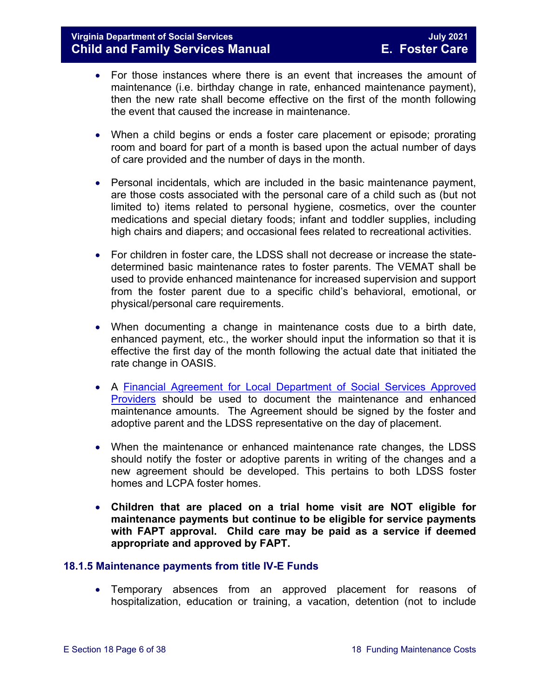- For those instances where there is an event that increases the amount of maintenance (i.e. birthday change in rate, enhanced maintenance payment), then the new rate shall become effective on the first of the month following the event that caused the increase in maintenance.
- When a child begins or ends a foster care placement or episode; prorating room and board for part of a month is based upon the actual number of days of care provided and the number of days in the month.
- Personal incidentals, which are included in the basic maintenance payment, are those costs associated with the personal care of a child such as (but not limited to) items related to personal hygiene, cosmetics, over the counter medications and special dietary foods; infant and toddler supplies, including high chairs and diapers; and occasional fees related to recreational activities.
- For children in foster care, the LDSS shall not decrease or increase the statedetermined basic maintenance rates to foster parents. The VEMAT shall be used to provide enhanced maintenance for increased supervision and support from the foster parent due to a specific child's behavioral, emotional, or physical/personal care requirements.
- When documenting a change in maintenance costs due to a birth date, enhanced payment, etc., the worker should input the information so that it is effective the first day of the month following the actual date that initiated the rate change in OASIS.
- A [Financial Agreement for Local Department of Social Services Approved](https://fusion.dss.virginia.gov/Portals/%5Bdfs%5D/Files/Family%20Recruitment/Family%20Recruitment%20Forms/Financial%20Agreement%20for%20Local%20Department%20of%20Social%20Services%20Approved%20Providers%20%28Foster%20Parents%29.pdf)  [Providers](https://fusion.dss.virginia.gov/Portals/%5Bdfs%5D/Files/Family%20Recruitment/Family%20Recruitment%20Forms/Financial%20Agreement%20for%20Local%20Department%20of%20Social%20Services%20Approved%20Providers%20%28Foster%20Parents%29.pdf) should be used to document the maintenance and enhanced maintenance amounts. The Agreement should be signed by the foster and adoptive parent and the LDSS representative on the day of placement.
- When the maintenance or enhanced maintenance rate changes, the LDSS should notify the foster or adoptive parents in writing of the changes and a new agreement should be developed. This pertains to both LDSS foster homes and LCPA foster homes.
- **Children that are placed on a trial home visit are NOT eligible for maintenance payments but continue to be eligible for service payments with FAPT approval. Child care may be paid as a service if deemed appropriate and approved by FAPT.**

#### <span id="page-5-0"></span>**18.1.5 Maintenance payments from title IV-E Funds**

• Temporary absences from an approved placement for reasons of hospitalization, education or training, a vacation, detention (not to include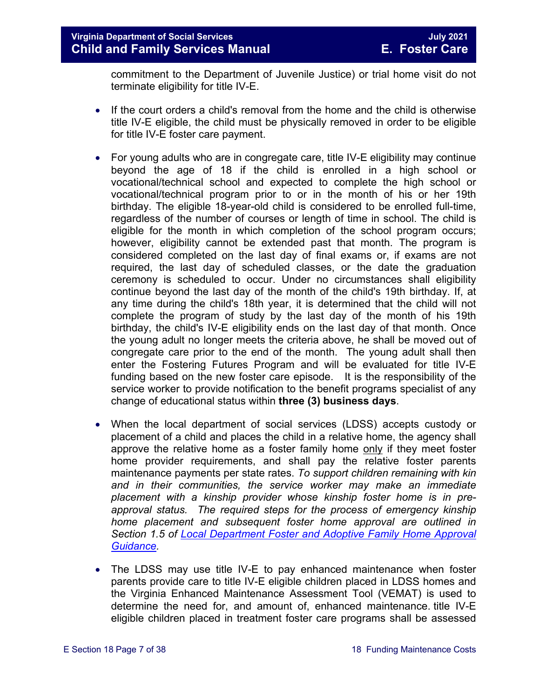commitment to the Department of Juvenile Justice) or trial home visit do not terminate eligibility for title IV-E.

- If the court orders a child's removal from the home and the child is otherwise title IV-E eligible, the child must be physically removed in order to be eligible for title IV-E foster care payment.
- For young adults who are in congregate care, title IV-E eligibility may continue beyond the age of 18 if the child is enrolled in a high school or vocational/technical school and expected to complete the high school or vocational/technical program prior to or in the month of his or her 19th birthday. The eligible 18-year-old child is considered to be enrolled full-time, regardless of the number of courses or length of time in school. The child is eligible for the month in which completion of the school program occurs; however, eligibility cannot be extended past that month. The program is considered completed on the last day of final exams or, if exams are not required, the last day of scheduled classes, or the date the graduation ceremony is scheduled to occur. Under no circumstances shall eligibility continue beyond the last day of the month of the child's 19th birthday. If, at any time during the child's 18th year, it is determined that the child will not complete the program of study by the last day of the month of his 19th birthday, the child's IV-E eligibility ends on the last day of that month. Once the young adult no longer meets the criteria above, he shall be moved out of congregate care prior to the end of the month. The young adult shall then enter the Fostering Futures Program and will be evaluated for title IV-E funding based on the new foster care episode. It is the responsibility of the service worker to provide notification to the benefit programs specialist of any change of educational status within **three (3) business days**.
- When the local department of social services (LDSS) accepts custody or placement of a child and places the child in a relative home, the agency shall approve the relative home as a foster family home only if they meet foster home provider requirements, and shall pay the relative foster parents maintenance payments per state rates. *To support children remaining with kin and in their communities, the service worker may make an immediate placement with a kinship provider whose kinship foster home is in preapproval status. The required steps for the process of emergency kinship home placement and subsequent foster home approval are outlined in Section 1.5 of [Local Department Foster and Adoptive Family Home Approval](https://fusion.dss.virginia.gov/dfs/DFS-Home/Family-Recruitment/Family-Recruitment-Guidance)  [Guidance.](https://fusion.dss.virginia.gov/dfs/DFS-Home/Family-Recruitment/Family-Recruitment-Guidance)*
- The LDSS may use title IV-E to pay enhanced maintenance when foster parents provide care to title IV-E eligible children placed in LDSS homes and the Virginia Enhanced Maintenance Assessment Tool (VEMAT) is used to determine the need for, and amount of, enhanced maintenance. title IV-E eligible children placed in treatment foster care programs shall be assessed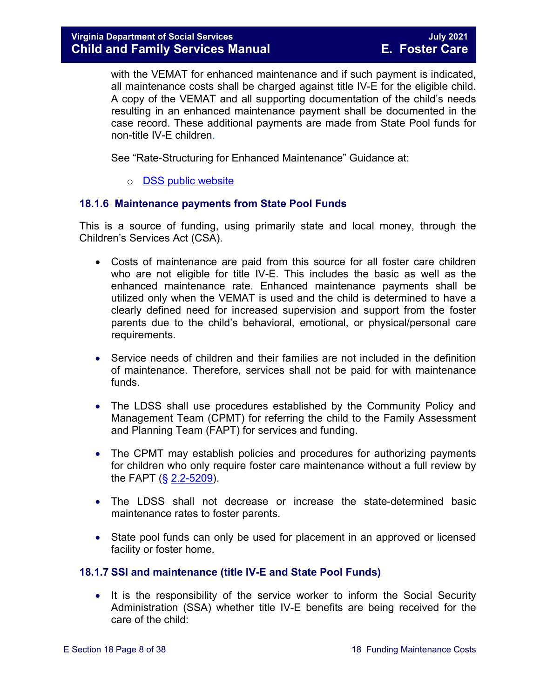with the VEMAT for enhanced maintenance and if such payment is indicated, all maintenance costs shall be charged against title IV-E for the eligible child. A copy of the VEMAT and all supporting documentation of the child's needs resulting in an enhanced maintenance payment shall be documented in the case record. These additional payments are made from State Pool funds for non-title IV-E children.

See "Rate-Structuring for Enhanced Maintenance" Guidance at:

#### o [DSS public website](http://www.dss.virginia.gov/family/fc/index.cgi)

#### <span id="page-7-0"></span>**18.1.6 Maintenance payments from State Pool Funds**

This is a source of funding, using primarily state and local money, through the Children's Services Act (CSA).

- Costs of maintenance are paid from this source for all foster care children who are not eligible for title IV-E. This includes the basic as well as the enhanced maintenance rate. Enhanced maintenance payments shall be utilized only when the VEMAT is used and the child is determined to have a clearly defined need for increased supervision and support from the foster parents due to the child's behavioral, emotional, or physical/personal care requirements.
- Service needs of children and their families are not included in the definition of maintenance. Therefore, services shall not be paid for with maintenance funds.
- The LDSS shall use procedures established by the Community Policy and Management Team (CPMT) for referring the child to the Family Assessment and Planning Team (FAPT) for services and funding.
- The CPMT may establish policies and procedures for authorizing payments for children who only require foster care maintenance without a full review by the FAPT  $(\S 2.2 - 5209)$ .
- The LDSS shall not decrease or increase the state-determined basic maintenance rates to foster parents.
- State pool funds can only be used for placement in an approved or licensed facility or foster home.

#### <span id="page-7-1"></span>**18.1.7 SSI and maintenance (title IV-E and State Pool Funds)**

• It is the responsibility of the service worker to inform the Social Security Administration (SSA) whether title IV-E benefits are being received for the care of the child: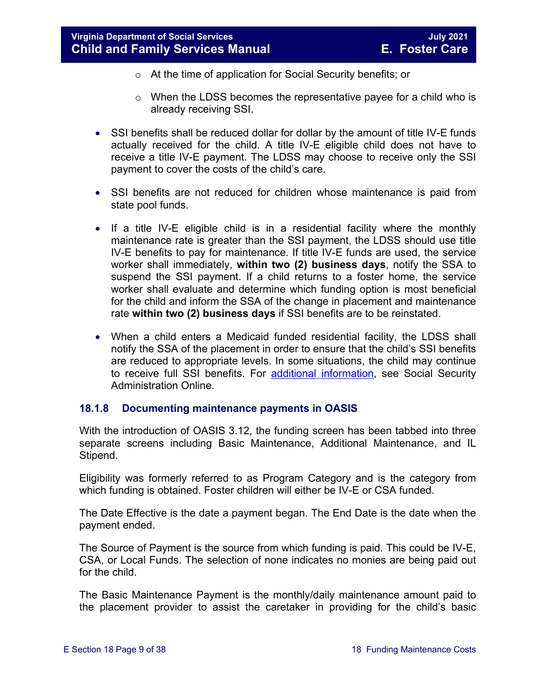- o At the time of application for Social Security benefits; or
- o When the LDSS becomes the representative payee for a child who is already receiving SSI.
- SSI benefits shall be reduced dollar for dollar by the amount of title IV-E funds actually received for the child. A title IV-E eligible child does not have to receive a title IV-E payment. The LDSS may choose to receive only the SSI payment to cover the costs of the child's care.
- SSI benefits are not reduced for children whose maintenance is paid from state pool funds.
- If a title IV-E eligible child is in a residential facility where the monthly maintenance rate is greater than the SSI payment, the LDSS should use title IV-E benefits to pay for maintenance. If title IV-E funds are used, the service worker shall immediately, **within two (2) business days**, notify the SSA to suspend the SSI payment. If a child returns to a foster home, the service worker shall evaluate and determine which funding option is most beneficial for the child and inform the SSA of the change in placement and maintenance rate **within two (2) business days** if SSI benefits are to be reinstated.
- When a child enters a Medicaid funded residential facility, the LDSS shall notify the SSA of the placement in order to ensure that the child's SSI benefits are reduced to appropriate levels. In some situations, the child may continue to receive full SSI benefits. For [additional information,](https://secure.ssa.gov/apps10/poms.nsf/lnx/0500520140) see Social Security Administration Online.

#### <span id="page-8-0"></span>**18.1.8 Documenting maintenance payments in OASIS**

With the introduction of OASIS 3.12, the funding screen has been tabbed into three separate screens including Basic Maintenance, Additional Maintenance, and IL Stipend.

Eligibility was formerly referred to as Program Category and is the category from which funding is obtained. Foster children will either be IV-E or CSA funded.

The Date Effective is the date a payment began. The End Date is the date when the payment ended.

The Source of Payment is the source from which funding is paid. This could be IV-E, CSA, or Local Funds. The selection of none indicates no monies are being paid out for the child.

The Basic Maintenance Payment is the monthly/daily maintenance amount paid to the placement provider to assist the caretaker in providing for the child's basic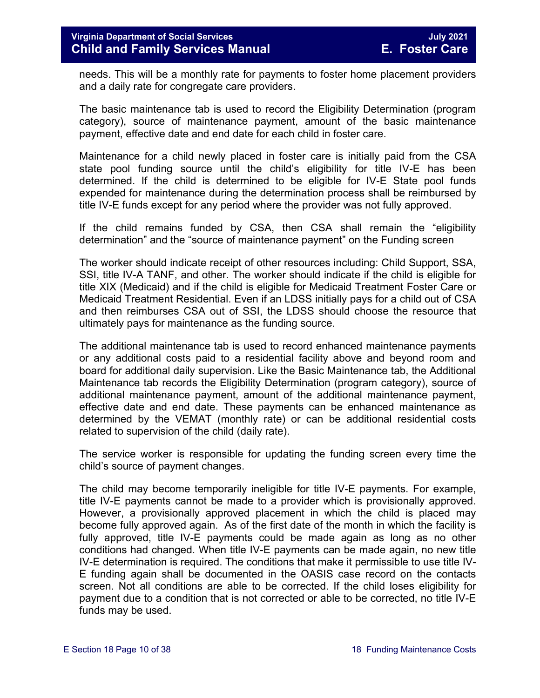needs. This will be a monthly rate for payments to foster home placement providers and a daily rate for congregate care providers.

The basic maintenance tab is used to record the Eligibility Determination (program category), source of maintenance payment, amount of the basic maintenance payment, effective date and end date for each child in foster care.

Maintenance for a child newly placed in foster care is initially paid from the CSA state pool funding source until the child's eligibility for title IV-E has been determined. If the child is determined to be eligible for IV-E State pool funds expended for maintenance during the determination process shall be reimbursed by title IV-E funds except for any period where the provider was not fully approved.

If the child remains funded by CSA, then CSA shall remain the "eligibility determination" and the "source of maintenance payment" on the Funding screen

The worker should indicate receipt of other resources including: Child Support, SSA, SSI, title IV-A TANF, and other. The worker should indicate if the child is eligible for title XIX (Medicaid) and if the child is eligible for Medicaid Treatment Foster Care or Medicaid Treatment Residential. Even if an LDSS initially pays for a child out of CSA and then reimburses CSA out of SSI, the LDSS should choose the resource that ultimately pays for maintenance as the funding source.

The additional maintenance tab is used to record enhanced maintenance payments or any additional costs paid to a residential facility above and beyond room and board for additional daily supervision. Like the Basic Maintenance tab, the Additional Maintenance tab records the Eligibility Determination (program category), source of additional maintenance payment, amount of the additional maintenance payment, effective date and end date. These payments can be enhanced maintenance as determined by the VEMAT (monthly rate) or can be additional residential costs related to supervision of the child (daily rate).

The service worker is responsible for updating the funding screen every time the child's source of payment changes.

The child may become temporarily ineligible for title IV-E payments. For example, title IV-E payments cannot be made to a provider which is provisionally approved. However, a provisionally approved placement in which the child is placed may become fully approved again. As of the first date of the month in which the facility is fully approved, title IV-E payments could be made again as long as no other conditions had changed. When title IV-E payments can be made again, no new title IV-E determination is required. The conditions that make it permissible to use title IV-E funding again shall be documented in the OASIS case record on the contacts screen. Not all conditions are able to be corrected. If the child loses eligibility for payment due to a condition that is not corrected or able to be corrected, no title IV-E funds may be used.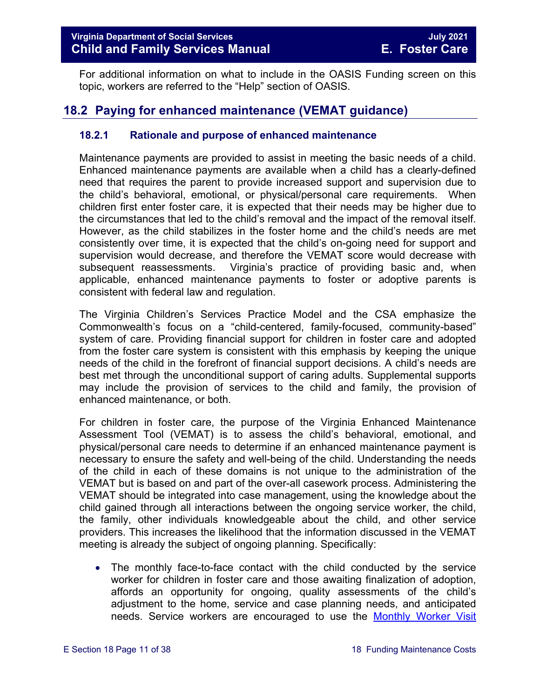For additional information on what to include in the OASIS Funding screen on this topic, workers are referred to the "Help" section of OASIS.

# <span id="page-10-0"></span>**18.2 Paying for enhanced maintenance (VEMAT guidance)**

#### <span id="page-10-1"></span>**18.2.1 Rationale and purpose of enhanced maintenance**

Maintenance payments are provided to assist in meeting the basic needs of a child. Enhanced maintenance payments are available when a child has a clearly-defined need that requires the parent to provide increased support and supervision due to the child's behavioral, emotional, or physical/personal care requirements. When children first enter foster care, it is expected that their needs may be higher due to the circumstances that led to the child's removal and the impact of the removal itself. However, as the child stabilizes in the foster home and the child's needs are met consistently over time, it is expected that the child's on-going need for support and supervision would decrease, and therefore the VEMAT score would decrease with subsequent reassessments. Virginia's practice of providing basic and, when applicable, enhanced maintenance payments to foster or adoptive parents is consistent with federal law and regulation.

The Virginia Children's Services Practice Model and the CSA emphasize the Commonwealth's focus on a "child-centered, family-focused, community-based" system of care. Providing financial support for children in foster care and adopted from the foster care system is consistent with this emphasis by keeping the unique needs of the child in the forefront of financial support decisions. A child's needs are best met through the unconditional support of caring adults. Supplemental supports may include the provision of services to the child and family, the provision of enhanced maintenance, or both.

For children in foster care, the purpose of the Virginia Enhanced Maintenance Assessment Tool (VEMAT) is to assess the child's behavioral, emotional, and physical/personal care needs to determine if an enhanced maintenance payment is necessary to ensure the safety and well-being of the child. Understanding the needs of the child in each of these domains is not unique to the administration of the VEMAT but is based on and part of the over-all casework process. Administering the VEMAT should be integrated into case management, using the knowledge about the child gained through all interactions between the ongoing service worker, the child, the family, other individuals knowledgeable about the child, and other service providers. This increases the likelihood that the information discussed in the VEMAT meeting is already the subject of ongoing planning. Specifically:

• The monthly face-to-face contact with the child conducted by the service worker for children in foster care and those awaiting finalization of adoption, affords an opportunity for ongoing, quality assessments of the child's adjustment to the home, service and case planning needs, and anticipated needs. Service workers are encouraged to use the [Monthly Worker Visit](https://fusion.dss.virginia.gov/Portals/%5Bdfs%5D/Files/Foster%20Care/Job%20Aids%20%26%20Resources/Monthly%20Worker%20Visit%20Checklist.pdf)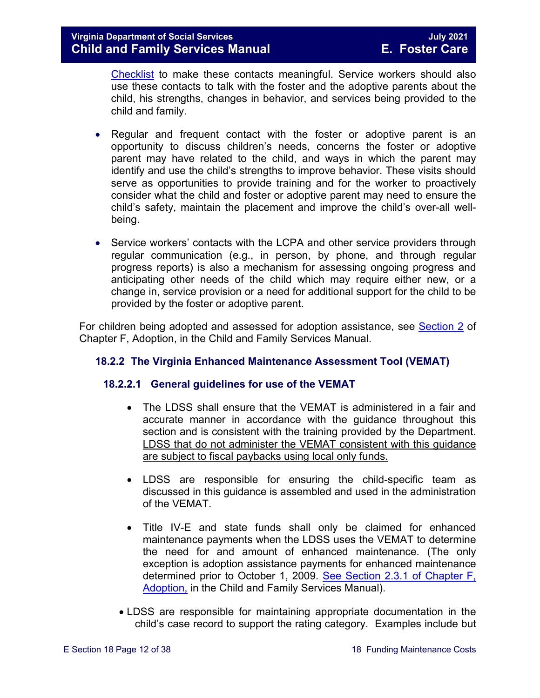[Checklist](https://fusion.dss.virginia.gov/Portals/%5Bdfs%5D/Files/Foster%20Care/Job%20Aids%20%26%20Resources/Monthly%20Worker%20Visit%20Checklist.pdf) to make these contacts meaningful. Service workers should also use these contacts to talk with the foster and the adoptive parents about the child, his strengths, changes in behavior, and services being provided to the child and family.

- Regular and frequent contact with the foster or adoptive parent is an opportunity to discuss children's needs, concerns the foster or adoptive parent may have related to the child, and ways in which the parent may identify and use the child's strengths to improve behavior. These visits should serve as opportunities to provide training and for the worker to proactively consider what the child and foster or adoptive parent may need to ensure the child's safety, maintain the placement and improve the child's over-all wellbeing.
- Service workers' contacts with the LCPA and other service providers through regular communication (e.g., in person, by phone, and through regular progress reports) is also a mechanism for assessing ongoing progress and anticipating other needs of the child which may require either new, or a change in, service provision or a need for additional support for the child to be provided by the foster or adoptive parent.

For children being adopted and assessed for adoption assistance, see [Section 2](https://fusion.dss.virginia.gov/Portals/%5Bdfs%5D/Files/Adoption/Guidance/2020/section_2_adoption%20assistance.pdf) of Chapter F, Adoption, in the Child and Family Services Manual.

#### <span id="page-11-0"></span>**18.2.2 The Virginia Enhanced Maintenance Assessment Tool (VEMAT)**

#### **18.2.2.1 General guidelines for use of the VEMAT**

- The LDSS shall ensure that the VEMAT is administered in a fair and accurate manner in accordance with the guidance throughout this section and is consistent with the training provided by the Department. LDSS that do not administer the VEMAT consistent with this guidance are subject to fiscal paybacks using local only funds.
- LDSS are responsible for ensuring the child-specific team as discussed in this guidance is assembled and used in the administration of the VEMAT.
- Title IV-E and state funds shall only be claimed for enhanced maintenance payments when the LDSS uses the VEMAT to determine the need for and amount of enhanced maintenance. (The only exception is adoption assistance payments for enhanced maintenance determined prior to October 1, 2009. [See Section 2.3.1 of Chapter F,](https://fusion.dss.virginia.gov/Portals/%5Bdfs%5D/Files/Adoption/Guidance/2020/section_2_adoption%20assistance.pdf)  [Adoption,](https://fusion.dss.virginia.gov/Portals/%5Bdfs%5D/Files/Adoption/Guidance/2020/section_2_adoption%20assistance.pdf) in the Child and Family Services Manual).
- LDSS are responsible for maintaining appropriate documentation in the child's case record to support the rating category. Examples include but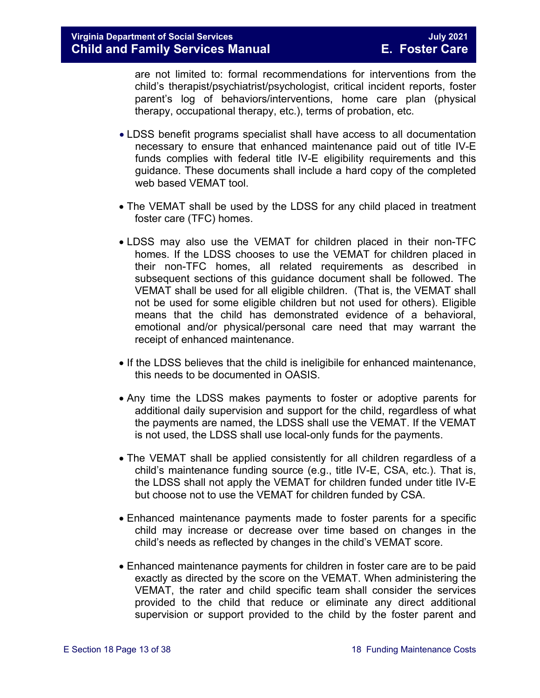are not limited to: formal recommendations for interventions from the child's therapist/psychiatrist/psychologist, critical incident reports, foster parent's log of behaviors/interventions, home care plan (physical therapy, occupational therapy, etc.), terms of probation, etc.

- LDSS benefit programs specialist shall have access to all documentation necessary to ensure that enhanced maintenance paid out of title IV-E funds complies with federal title IV-E eligibility requirements and this guidance. These documents shall include a hard copy of the completed web based VEMAT tool.
- The VEMAT shall be used by the LDSS for any child placed in treatment foster care (TFC) homes.
- LDSS may also use the VEMAT for children placed in their non-TFC homes. If the LDSS chooses to use the VEMAT for children placed in their non-TFC homes, all related requirements as described in subsequent sections of this guidance document shall be followed. The VEMAT shall be used for all eligible children. (That is, the VEMAT shall not be used for some eligible children but not used for others). Eligible means that the child has demonstrated evidence of a behavioral, emotional and/or physical/personal care need that may warrant the receipt of enhanced maintenance.
- If the LDSS believes that the child is ineligibile for enhanced maintenance, this needs to be documented in OASIS.
- Any time the LDSS makes payments to foster or adoptive parents for additional daily supervision and support for the child, regardless of what the payments are named, the LDSS shall use the VEMAT. If the VEMAT is not used, the LDSS shall use local-only funds for the payments.
- The VEMAT shall be applied consistently for all children regardless of a child's maintenance funding source (e.g., title IV-E, CSA, etc.). That is, the LDSS shall not apply the VEMAT for children funded under title IV-E but choose not to use the VEMAT for children funded by CSA.
- Enhanced maintenance payments made to foster parents for a specific child may increase or decrease over time based on changes in the child's needs as reflected by changes in the child's VEMAT score.
- Enhanced maintenance payments for children in foster care are to be paid exactly as directed by the score on the VEMAT. When administering the VEMAT, the rater and child specific team shall consider the services provided to the child that reduce or eliminate any direct additional supervision or support provided to the child by the foster parent and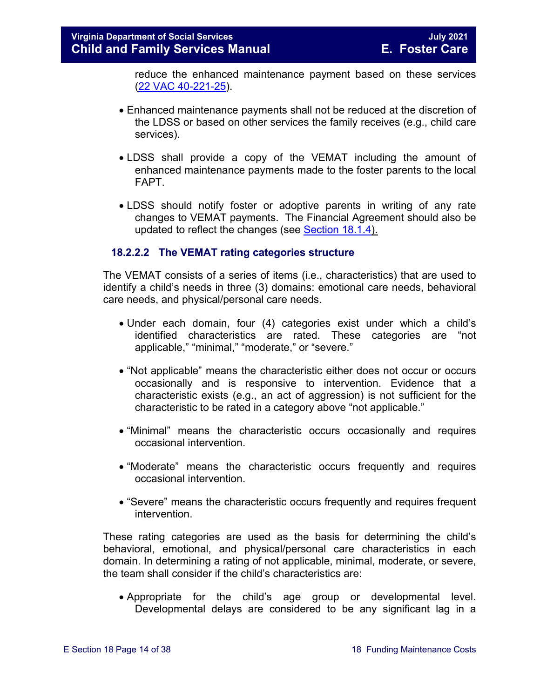reduce the enhanced maintenance payment based on these services [\(22 VAC 40-221-25\)](http://leg1.state.va.us/cgi-bin/legp504.exe?000+reg+22VAC40-221-25).

- Enhanced maintenance payments shall not be reduced at the discretion of the LDSS or based on other services the family receives (e.g., child care services).
- LDSS shall provide a copy of the VEMAT including the amount of enhanced maintenance payments made to the foster parents to the local FAPT.
- LDSS should notify foster or adoptive parents in writing of any rate changes to VEMAT payments. The Financial Agreement should also be updated to reflect the changes (see [Section 18.1.4\)](#page-3-1).

#### **18.2.2.2 The VEMAT rating categories structure**

The VEMAT consists of a series of items (i.e., characteristics) that are used to identify a child's needs in three (3) domains: emotional care needs, behavioral care needs, and physical/personal care needs.

- Under each domain, four (4) categories exist under which a child's identified characteristics are rated. These categories are "not applicable," "minimal," "moderate," or "severe."
- "Not applicable" means the characteristic either does not occur or occurs occasionally and is responsive to intervention. Evidence that a characteristic exists (e.g., an act of aggression) is not sufficient for the characteristic to be rated in a category above "not applicable."
- "Minimal" means the characteristic occurs occasionally and requires occasional intervention.
- "Moderate" means the characteristic occurs frequently and requires occasional intervention.
- "Severe" means the characteristic occurs frequently and requires frequent intervention.

These rating categories are used as the basis for determining the child's behavioral, emotional, and physical/personal care characteristics in each domain. In determining a rating of not applicable, minimal, moderate, or severe, the team shall consider if the child's characteristics are:

• Appropriate for the child's age group or developmental level. Developmental delays are considered to be any significant lag in a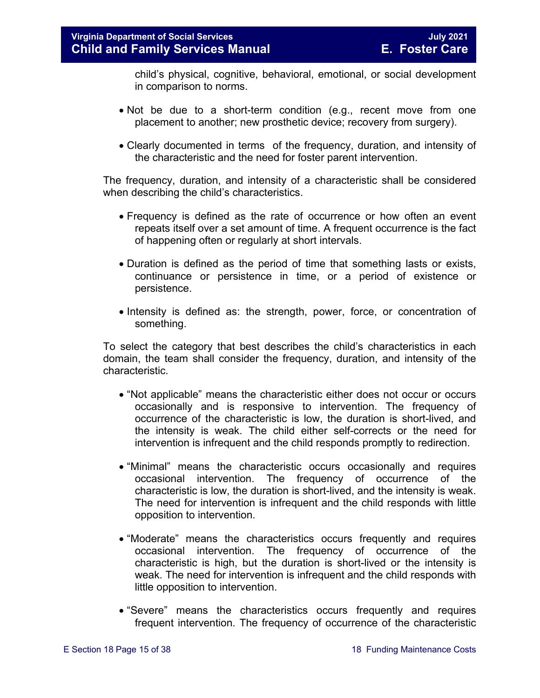child's physical, cognitive, behavioral, emotional, or social development in comparison to norms.

- Not be due to a short-term condition (e.g., recent move from one placement to another; new prosthetic device; recovery from surgery).
- Clearly documented in terms of the frequency, duration, and intensity of the characteristic and the need for foster parent intervention.

The frequency, duration, and intensity of a characteristic shall be considered when describing the child's characteristics.

- Frequency is defined as the rate of occurrence or how often an event repeats itself over a set amount of time. A frequent occurrence is the fact of happening often or regularly at short intervals.
- Duration is defined as the period of time that something lasts or exists, continuance or persistence in time, or a period of existence or persistence.
- Intensity is defined as: the strength, power, force, or concentration of something.

To select the category that best describes the child's characteristics in each domain, the team shall consider the frequency, duration, and intensity of the characteristic.

- "Not applicable" means the characteristic either does not occur or occurs occasionally and is responsive to intervention. The frequency of occurrence of the characteristic is low, the duration is short-lived, and the intensity is weak. The child either self-corrects or the need for intervention is infrequent and the child responds promptly to redirection.
- "Minimal" means the characteristic occurs occasionally and requires occasional intervention. The frequency of occurrence of the characteristic is low, the duration is short-lived, and the intensity is weak. The need for intervention is infrequent and the child responds with little opposition to intervention.
- "Moderate" means the characteristics occurs frequently and requires occasional intervention. The frequency of occurrence of the characteristic is high, but the duration is short-lived or the intensity is weak. The need for intervention is infrequent and the child responds with little opposition to intervention.
- "Severe" means the characteristics occurs frequently and requires frequent intervention. The frequency of occurrence of the characteristic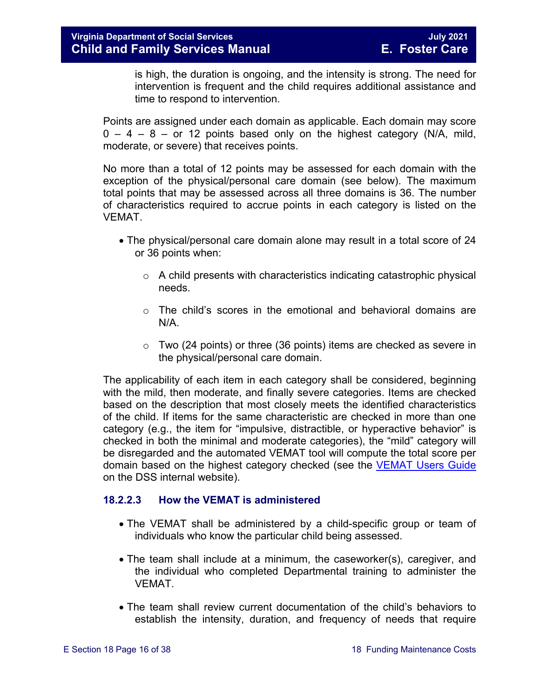is high, the duration is ongoing, and the intensity is strong. The need for intervention is frequent and the child requires additional assistance and time to respond to intervention.

Points are assigned under each domain as applicable. Each domain may score  $0 - 4 - 8 -$  or 12 points based only on the highest category (N/A, mild, moderate, or severe) that receives points.

No more than a total of 12 points may be assessed for each domain with the exception of the physical/personal care domain (see below). The maximum total points that may be assessed across all three domains is 36. The number of characteristics required to accrue points in each category is listed on the VEMAT.

- The physical/personal care domain alone may result in a total score of 24 or 36 points when:
	- o A child presents with characteristics indicating catastrophic physical needs.
	- $\circ$  The child's scores in the emotional and behavioral domains are N/A.
	- $\circ$  Two (24 points) or three (36 points) items are checked as severe in the physical/personal care domain.

The applicability of each item in each category shall be considered, beginning with the mild, then moderate, and finally severe categories. Items are checked based on the description that most closely meets the identified characteristics of the child. If items for the same characteristic are checked in more than one category (e.g., the item for "impulsive, distractible, or hyperactive behavior" is checked in both the minimal and moderate categories), the "mild" category will be disregarded and the automated VEMAT tool will compute the total score per domain based on the highest category checked (see the [VEMAT Users Guide](https://fusion.dss.virginia.gov/Portals/%5bDIS%5d/Files/VEMAT_User_Guide_2016.pdf?ver=2018-12-03-141108-183) on the DSS internal website).

#### <span id="page-15-0"></span>**18.2.2.3 How the VEMAT is administered**

- The VEMAT shall be administered by a child-specific group or team of individuals who know the particular child being assessed.
- The team shall include at a minimum, the caseworker(s), caregiver, and the individual who completed Departmental training to administer the **VFMAT**
- The team shall review current documentation of the child's behaviors to establish the intensity, duration, and frequency of needs that require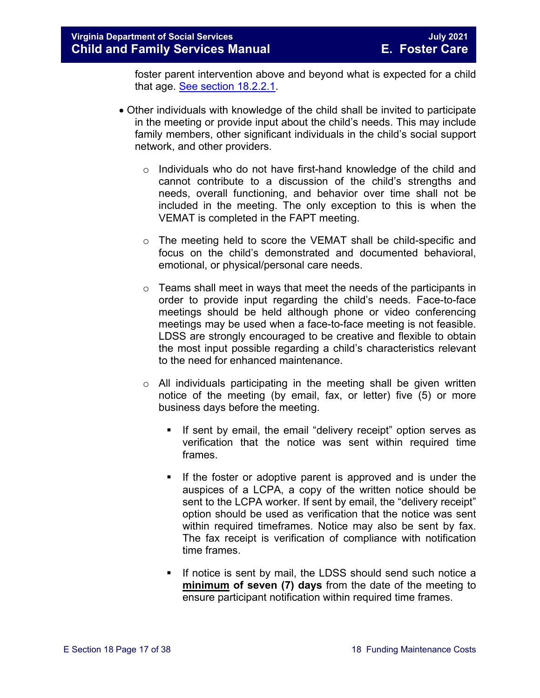foster parent intervention above and beyond what is expected for a child that age. [See section 18.2.2.1.](#page-11-0)

- Other individuals with knowledge of the child shall be invited to participate in the meeting or provide input about the child's needs. This may include family members, other significant individuals in the child's social support network, and other providers.
	- o Individuals who do not have first-hand knowledge of the child and cannot contribute to a discussion of the child's strengths and needs, overall functioning, and behavior over time shall not be included in the meeting. The only exception to this is when the VEMAT is completed in the FAPT meeting.
	- o The meeting held to score the VEMAT shall be child-specific and focus on the child's demonstrated and documented behavioral, emotional, or physical/personal care needs.
	- $\circ$  Teams shall meet in ways that meet the needs of the participants in order to provide input regarding the child's needs. Face-to-face meetings should be held although phone or video conferencing meetings may be used when a face-to-face meeting is not feasible. LDSS are strongly encouraged to be creative and flexible to obtain the most input possible regarding a child's characteristics relevant to the need for enhanced maintenance.
	- $\circ$  All individuals participating in the meeting shall be given written notice of the meeting (by email, fax, or letter) five (5) or more business days before the meeting.
		- If sent by email, the email "delivery receipt" option serves as verification that the notice was sent within required time frames.
		- If the foster or adoptive parent is approved and is under the auspices of a LCPA, a copy of the written notice should be sent to the LCPA worker. If sent by email, the "delivery receipt" option should be used as verification that the notice was sent within required timeframes. Notice may also be sent by fax. The fax receipt is verification of compliance with notification time frames.
		- If notice is sent by mail, the LDSS should send such notice a **minimum of seven (7) days** from the date of the meeting to ensure participant notification within required time frames.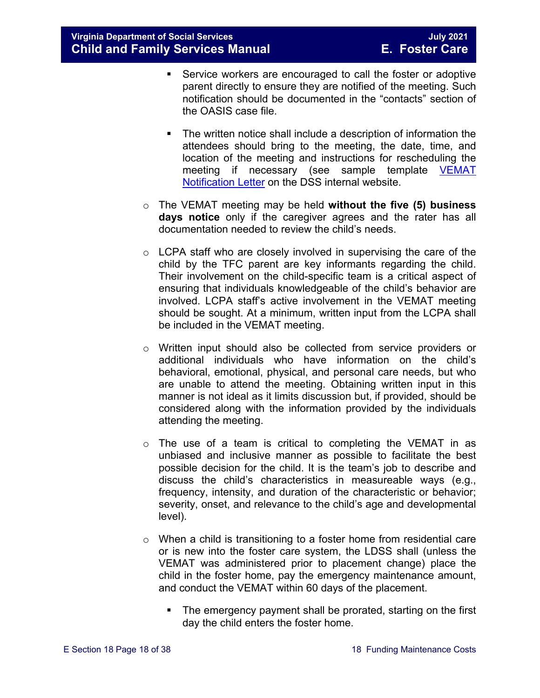- Service workers are encouraged to call the foster or adoptive parent directly to ensure they are notified of the meeting. Such notification should be documented in the "contacts" section of the OASIS case file.
- The written notice shall include a description of information the attendees should bring to the meeting, the date, time, and location of the meeting and instructions for rescheduling the meeting if necessary (see sample template [VEMAT](https://fusion.dss.virginia.gov/Portals/%5BDIS%5D/Files/032-05-0393-00-eng.xls)  [Notification Letter](https://fusion.dss.virginia.gov/Portals/%5BDIS%5D/Files/032-05-0393-00-eng.xls) on the DSS internal website.
- o The VEMAT meeting may be held **without the five (5) business days notice** only if the caregiver agrees and the rater has all documentation needed to review the child's needs.
- o LCPA staff who are closely involved in supervising the care of the child by the TFC parent are key informants regarding the child. Their involvement on the child-specific team is a critical aspect of ensuring that individuals knowledgeable of the child's behavior are involved. LCPA staff's active involvement in the VEMAT meeting should be sought. At a minimum, written input from the LCPA shall be included in the VEMAT meeting.
- o Written input should also be collected from service providers or additional individuals who have information on the child's behavioral, emotional, physical, and personal care needs, but who are unable to attend the meeting. Obtaining written input in this manner is not ideal as it limits discussion but, if provided, should be considered along with the information provided by the individuals attending the meeting.
- o The use of a team is critical to completing the VEMAT in as unbiased and inclusive manner as possible to facilitate the best possible decision for the child. It is the team's job to describe and discuss the child's characteristics in measureable ways (e.g., frequency, intensity, and duration of the characteristic or behavior; severity, onset, and relevance to the child's age and developmental level).
- o When a child is transitioning to a foster home from residential care or is new into the foster care system, the LDSS shall (unless the VEMAT was administered prior to placement change) place the child in the foster home, pay the emergency maintenance amount, and conduct the VEMAT within 60 days of the placement.
	- The emergency payment shall be prorated, starting on the first day the child enters the foster home.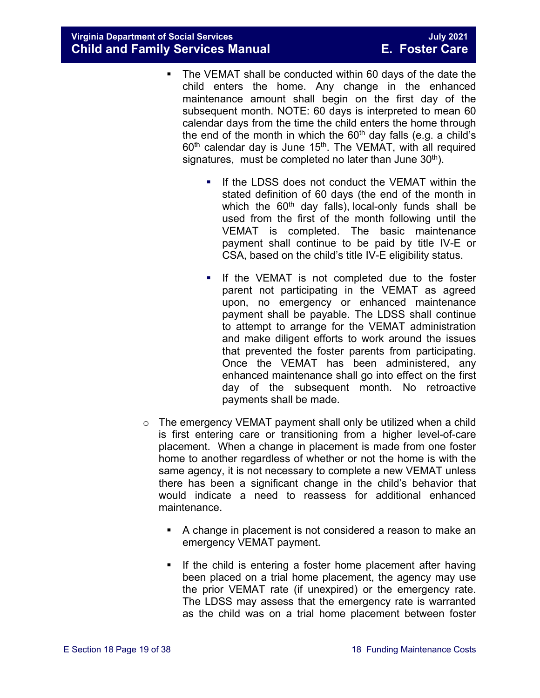- The VEMAT shall be conducted within 60 days of the date the child enters the home. Any change in the enhanced maintenance amount shall begin on the first day of the subsequent month. NOTE: 60 days is interpreted to mean 60 calendar days from the time the child enters the home through the end of the month in which the  $60<sup>th</sup>$  day falls (e.g. a child's  $60<sup>th</sup>$  calendar day is June 15<sup>th</sup>. The VEMAT, with all required signatures, must be completed no later than June  $30<sup>th</sup>$ ).
	- If the LDSS does not conduct the VEMAT within the stated definition of 60 days (the end of the month in which the  $60<sup>th</sup>$  day falls), local-only funds shall be used from the first of the month following until the VEMAT is completed. The basic maintenance payment shall continue to be paid by title IV-E or CSA, based on the child's title IV-E eligibility status.
	- **If the VEMAT is not completed due to the foster** parent not participating in the VEMAT as agreed upon, no emergency or enhanced maintenance payment shall be payable. The LDSS shall continue to attempt to arrange for the VEMAT administration and make diligent efforts to work around the issues that prevented the foster parents from participating. Once the VEMAT has been administered, any enhanced maintenance shall go into effect on the first day of the subsequent month. No retroactive payments shall be made.
- o The emergency VEMAT payment shall only be utilized when a child is first entering care or transitioning from a higher level-of-care placement. When a change in placement is made from one foster home to another regardless of whether or not the home is with the same agency, it is not necessary to complete a new VEMAT unless there has been a significant change in the child's behavior that would indicate a need to reassess for additional enhanced maintenance.
	- A change in placement is not considered a reason to make an emergency VEMAT payment.
	- If the child is entering a foster home placement after having been placed on a trial home placement, the agency may use the prior VEMAT rate (if unexpired) or the emergency rate. The LDSS may assess that the emergency rate is warranted as the child was on a trial home placement between foster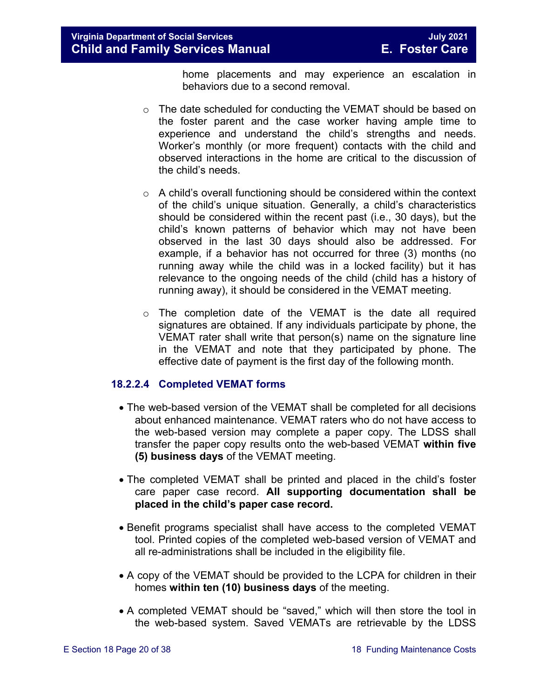home placements and may experience an escalation in behaviors due to a second removal.

- $\circ$  The date scheduled for conducting the VEMAT should be based on the foster parent and the case worker having ample time to experience and understand the child's strengths and needs. Worker's monthly (or more frequent) contacts with the child and observed interactions in the home are critical to the discussion of the child's needs.
- o A child's overall functioning should be considered within the context of the child's unique situation. Generally, a child's characteristics should be considered within the recent past (i.e., 30 days), but the child's known patterns of behavior which may not have been observed in the last 30 days should also be addressed. For example, if a behavior has not occurred for three (3) months (no running away while the child was in a locked facility) but it has relevance to the ongoing needs of the child (child has a history of running away), it should be considered in the VEMAT meeting.
- $\circ$  The completion date of the VEMAT is the date all required signatures are obtained. If any individuals participate by phone, the VEMAT rater shall write that person(s) name on the signature line in the VEMAT and note that they participated by phone. The effective date of payment is the first day of the following month.

#### **18.2.2.4 Completed VEMAT forms**

- The web-based version of the VEMAT shall be completed for all decisions about enhanced maintenance. VEMAT raters who do not have access to the web-based version may complete a paper copy. The LDSS shall transfer the paper copy results onto the web-based VEMAT **within five (5) business days** of the VEMAT meeting.
- The completed VEMAT shall be printed and placed in the child's foster care paper case record. **All supporting documentation shall be placed in the child's paper case record.**
- Benefit programs specialist shall have access to the completed VEMAT tool. Printed copies of the completed web-based version of VEMAT and all re-administrations shall be included in the eligibility file.
- A copy of the VEMAT should be provided to the LCPA for children in their homes **within ten (10) business days** of the meeting.
- A completed VEMAT should be "saved," which will then store the tool in the web-based system. Saved VEMATs are retrievable by the LDSS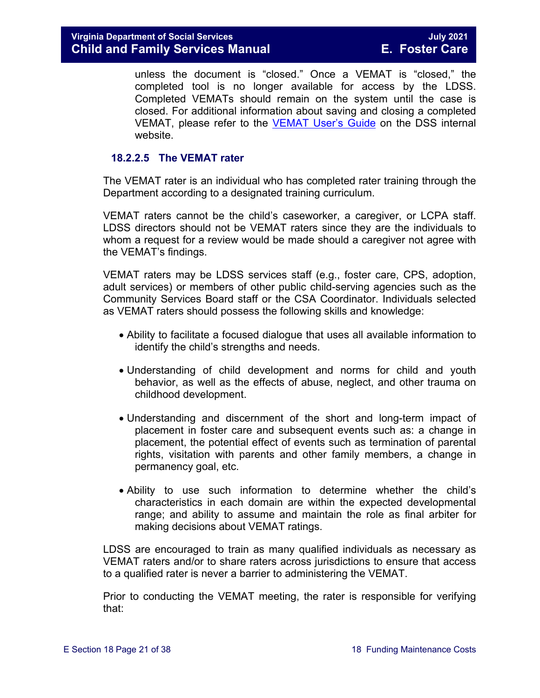unless the document is "closed." Once a VEMAT is "closed," the completed tool is no longer available for access by the LDSS. Completed VEMATs should remain on the system until the case is closed. For additional information about saving and closing a completed VEMAT, please refer to the [VEMAT User's Guide](https://fusion.dss.virginia.gov/Portals/%5BDIS%5D/Files/VEMAT_User_Guide_2016.pdf) on the DSS internal website.

#### **18.2.2.5 The VEMAT rater**

The VEMAT rater is an individual who has completed rater training through the Department according to a designated training curriculum.

VEMAT raters cannot be the child's caseworker, a caregiver, or LCPA staff. LDSS directors should not be VEMAT raters since they are the individuals to whom a request for a review would be made should a caregiver not agree with the VEMAT's findings.

VEMAT raters may be LDSS services staff (e.g., foster care, CPS, adoption, adult services) or members of other public child-serving agencies such as the Community Services Board staff or the CSA Coordinator. Individuals selected as VEMAT raters should possess the following skills and knowledge:

- Ability to facilitate a focused dialogue that uses all available information to identify the child's strengths and needs.
- Understanding of child development and norms for child and youth behavior, as well as the effects of abuse, neglect, and other trauma on childhood development.
- Understanding and discernment of the short and long-term impact of placement in foster care and subsequent events such as: a change in placement, the potential effect of events such as termination of parental rights, visitation with parents and other family members, a change in permanency goal, etc.
- Ability to use such information to determine whether the child's characteristics in each domain are within the expected developmental range; and ability to assume and maintain the role as final arbiter for making decisions about VEMAT ratings.

LDSS are encouraged to train as many qualified individuals as necessary as VEMAT raters and/or to share raters across jurisdictions to ensure that access to a qualified rater is never a barrier to administering the VEMAT.

Prior to conducting the VEMAT meeting, the rater is responsible for verifying that: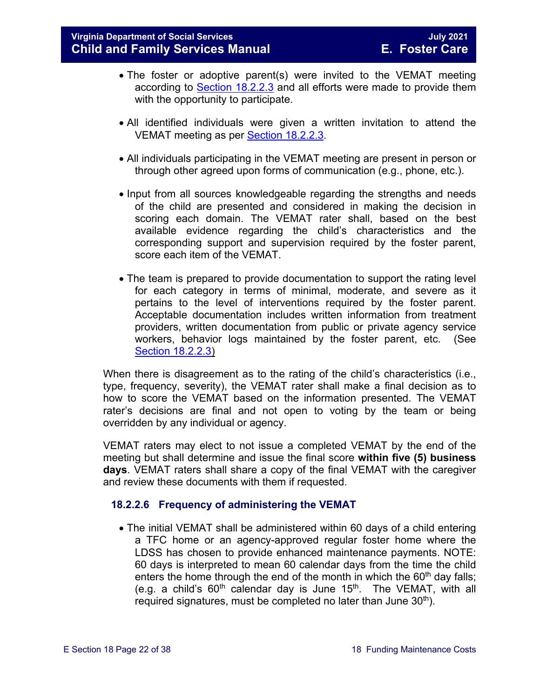- The foster or adoptive parent(s) were invited to the VEMAT meeting according to [Section 18.2.2.3](#page-15-0) and all efforts were made to provide them with the opportunity to participate.
- All identified individuals were given a written invitation to attend the VEMAT meeting as per [Section 18.2.2.3.](#page-15-0)
- All individuals participating in the VEMAT meeting are present in person or through other agreed upon forms of communication (e.g., phone, etc.).
- Input from all sources knowledgeable regarding the strengths and needs of the child are presented and considered in making the decision in scoring each domain. The VEMAT rater shall, based on the best available evidence regarding the child's characteristics and the corresponding support and supervision required by the foster parent, score each item of the VEMAT.
- The team is prepared to provide documentation to support the rating level for each category in terms of minimal, moderate, and severe as it pertains to the level of interventions required by the foster parent. Acceptable documentation includes written information from treatment providers, written documentation from public or private agency service workers, behavior logs maintained by the foster parent, etc. (See [Section 18.2.2.3\)](#page-15-0)

When there is disagreement as to the rating of the child's characteristics (i.e., type, frequency, severity), the VEMAT rater shall make a final decision as to how to score the VEMAT based on the information presented. The VEMAT rater's decisions are final and not open to voting by the team or being overridden by any individual or agency.

VEMAT raters may elect to not issue a completed VEMAT by the end of the meeting but shall determine and issue the final score **within five (5) business days**. VEMAT raters shall share a copy of the final VEMAT with the caregiver and review these documents with them if requested.

#### <span id="page-21-0"></span>**18.2.2.6 Frequency of administering the VEMAT**

• The initial VEMAT shall be administered within 60 days of a child entering a TFC home or an agency-approved regular foster home where the LDSS has chosen to provide enhanced maintenance payments. NOTE: 60 days is interpreted to mean 60 calendar days from the time the child enters the home through the end of the month in which the  $60<sup>th</sup>$  day falls; (e.g. a child's  $60<sup>th</sup>$  calendar day is June 15<sup>th</sup>. The VEMAT, with all required signatures, must be completed no later than June  $30<sup>th</sup>$ ).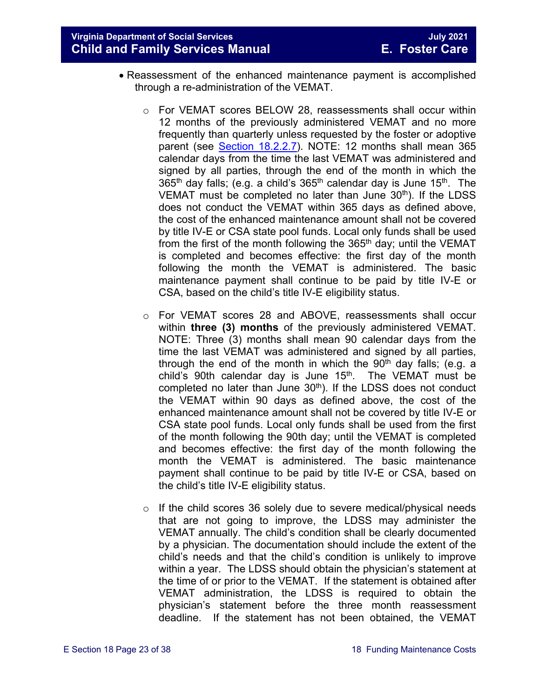**Virginia Department of Social Services July 2021 Child and Family Services Manual E. Foster Care**

- Reassessment of the enhanced maintenance payment is accomplished through a re-administration of the VEMAT.
	- $\circ$  For VEMAT scores BELOW 28, reassessments shall occur within 12 months of the previously administered VEMAT and no more frequently than quarterly unless requested by the foster or adoptive parent (see [Section 18.2.2.7\)](#page-23-0). NOTE: 12 months shall mean 365 calendar days from the time the last VEMAT was administered and signed by all parties, through the end of the month in which the 365<sup>th</sup> day falls; (e.g. a child's 365<sup>th</sup> calendar day is June 15<sup>th</sup>. The VEMAT must be completed no later than June  $30<sup>th</sup>$ ). If the LDSS does not conduct the VEMAT within 365 days as defined above, the cost of the enhanced maintenance amount shall not be covered by title IV-E or CSA state pool funds. Local only funds shall be used from the first of the month following the  $365<sup>th</sup>$  day; until the VEMAT is completed and becomes effective: the first day of the month following the month the VEMAT is administered. The basic maintenance payment shall continue to be paid by title IV-E or CSA, based on the child's title IV-E eligibility status.
	- o For VEMAT scores 28 and ABOVE, reassessments shall occur within **three (3) months** of the previously administered VEMAT. NOTE: Three (3) months shall mean 90 calendar days from the time the last VEMAT was administered and signed by all parties, through the end of the month in which the  $90<sup>th</sup>$  day falls; (e.g. a child's 90th calendar day is June  $15<sup>th</sup>$ . The VEMAT must be completed no later than June  $30<sup>th</sup>$ ). If the LDSS does not conduct the VEMAT within 90 days as defined above, the cost of the enhanced maintenance amount shall not be covered by title IV-E or CSA state pool funds. Local only funds shall be used from the first of the month following the 90th day; until the VEMAT is completed and becomes effective: the first day of the month following the month the VEMAT is administered. The basic maintenance payment shall continue to be paid by title IV-E or CSA, based on the child's title IV-E eligibility status.
	- $\circ$  If the child scores 36 solely due to severe medical/physical needs that are not going to improve, the LDSS may administer the VEMAT annually. The child's condition shall be clearly documented by a physician. The documentation should include the extent of the child's needs and that the child's condition is unlikely to improve within a year. The LDSS should obtain the physician's statement at the time of or prior to the VEMAT. If the statement is obtained after VEMAT administration, the LDSS is required to obtain the physician's statement before the three month reassessment deadline. If the statement has not been obtained, the VEMAT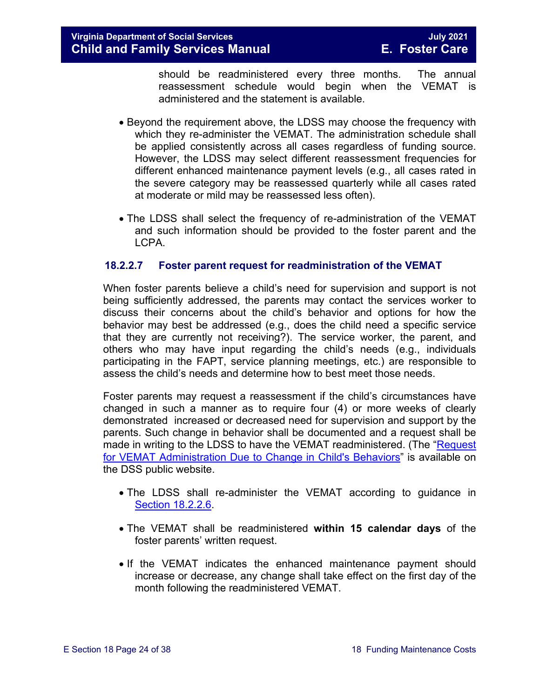should be readministered every three months. The annual reassessment schedule would begin when the VEMAT is administered and the statement is available.

- Beyond the requirement above, the LDSS may choose the frequency with which they re-administer the VEMAT. The administration schedule shall be applied consistently across all cases regardless of funding source. However, the LDSS may select different reassessment frequencies for different enhanced maintenance payment levels (e.g., all cases rated in the severe category may be reassessed quarterly while all cases rated at moderate or mild may be reassessed less often).
- The LDSS shall select the frequency of re-administration of the VEMAT and such information should be provided to the foster parent and the LCPA.

#### <span id="page-23-0"></span>**18.2.2.7 Foster parent request for readministration of the VEMAT**

When foster parents believe a child's need for supervision and support is not being sufficiently addressed, the parents may contact the services worker to discuss their concerns about the child's behavior and options for how the behavior may best be addressed (e.g., does the child need a specific service that they are currently not receiving?). The service worker, the parent, and others who may have input regarding the child's needs (e.g., individuals participating in the FAPT, service planning meetings, etc.) are responsible to assess the child's needs and determine how to best meet those needs.

Foster parents may request a reassessment if the child's circumstances have changed in such a manner as to require four (4) or more weeks of clearly demonstrated increased or decreased need for supervision and support by the parents. Such change in behavior shall be documented and a request shall be made in writing to the LDSS to have the VEMAT readministered. (The ["Request](https://fusion.dss.virginia.gov/Portals/%5BDIS%5D/Files/032-04-0048-01-eng.doc)  [for VEMAT Administration Due to Change in Child's Behaviors"](https://fusion.dss.virginia.gov/Portals/%5BDIS%5D/Files/032-04-0048-01-eng.doc) is available on the DSS public website.

- The LDSS shall re-administer the VEMAT according to guidance in [Section 18.2.2.6.](#page-21-0)
- The VEMAT shall be readministered **within 15 calendar days** of the foster parents' written request.
- If the VEMAT indicates the enhanced maintenance payment should increase or decrease, any change shall take effect on the first day of the month following the readministered VEMAT.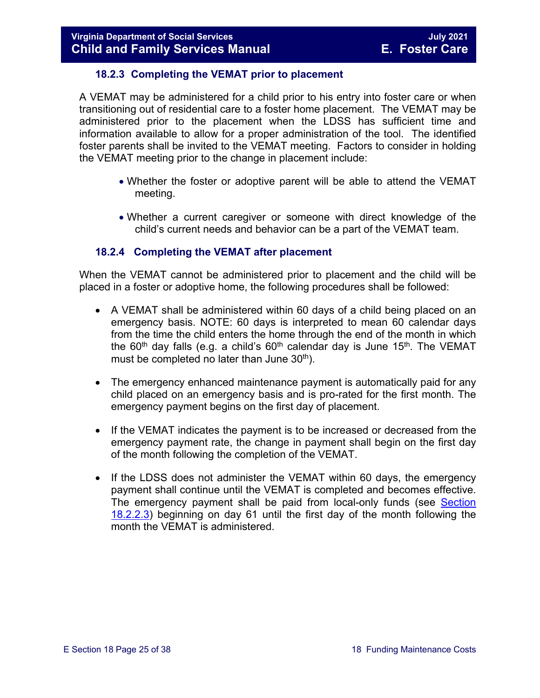#### **18.2.3 Completing the VEMAT prior to placement**

<span id="page-24-0"></span>A VEMAT may be administered for a child prior to his entry into foster care or when transitioning out of residential care to a foster home placement. The VEMAT may be administered prior to the placement when the LDSS has sufficient time and information available to allow for a proper administration of the tool. The identified foster parents shall be invited to the VEMAT meeting. Factors to consider in holding the VEMAT meeting prior to the change in placement include:

- Whether the foster or adoptive parent will be able to attend the VEMAT meeting.
- Whether a current caregiver or someone with direct knowledge of the child's current needs and behavior can be a part of the VEMAT team.

#### <span id="page-24-1"></span>**18.2.4 Completing the VEMAT after placement**

When the VEMAT cannot be administered prior to placement and the child will be placed in a foster or adoptive home, the following procedures shall be followed:

- A VEMAT shall be administered within 60 days of a child being placed on an emergency basis. NOTE: 60 days is interpreted to mean 60 calendar days from the time the child enters the home through the end of the month in which the 60<sup>th</sup> day falls (e.g. a child's 60<sup>th</sup> calendar day is June 15<sup>th</sup>. The VEMAT must be completed no later than June  $30<sup>th</sup>$ ).
- The emergency enhanced maintenance payment is automatically paid for any child placed on an emergency basis and is pro-rated for the first month. The emergency payment begins on the first day of placement.
- If the VEMAT indicates the payment is to be increased or decreased from the emergency payment rate, the change in payment shall begin on the first day of the month following the completion of the VEMAT.
- If the LDSS does not administer the VEMAT within 60 days, the emergency payment shall continue until the VEMAT is completed and becomes effective. The emergency payment shall be paid from local-only funds (see [Section](#page-15-0)  [18.2.2.3\)](#page-15-0) beginning on day 61 until the first day of the month following the month the VEMAT is administered.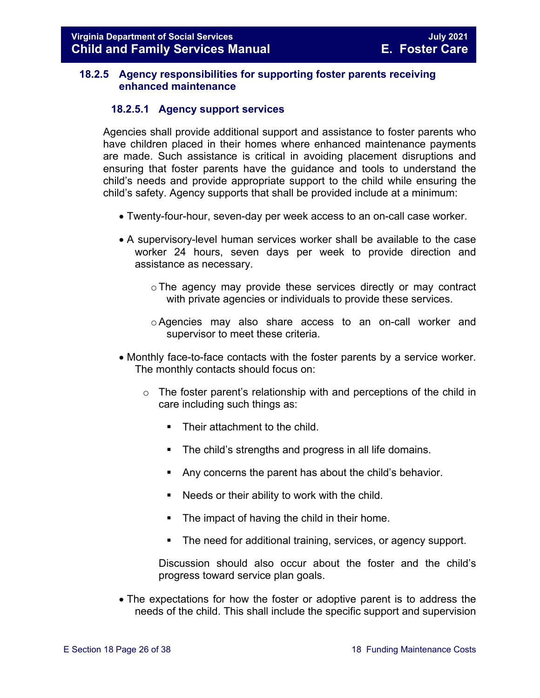#### <span id="page-25-0"></span>**18.2.5 Agency responsibilities for supporting foster parents receiving enhanced maintenance**

#### **18.2.5.1 Agency support services**

Agencies shall provide additional support and assistance to foster parents who have children placed in their homes where enhanced maintenance payments are made. Such assistance is critical in avoiding placement disruptions and ensuring that foster parents have the guidance and tools to understand the child's needs and provide appropriate support to the child while ensuring the child's safety. Agency supports that shall be provided include at a minimum:

- Twenty-four-hour, seven-day per week access to an on-call case worker.
- A supervisory-level human services worker shall be available to the case worker 24 hours, seven days per week to provide direction and assistance as necessary.
	- oThe agency may provide these services directly or may contract with private agencies or individuals to provide these services.
	- o Agencies may also share access to an on-call worker and supervisor to meet these criteria.
- Monthly face-to-face contacts with the foster parents by a service worker. The monthly contacts should focus on:
	- o The foster parent's relationship with and perceptions of the child in care including such things as:
		- Their attachment to the child.
		- **The child's strengths and progress in all life domains.**
		- Any concerns the parent has about the child's behavior.
		- Needs or their ability to work with the child.
		- **The impact of having the child in their home.**
		- **The need for additional training, services, or agency support.**

Discussion should also occur about the foster and the child's progress toward service plan goals.

• The expectations for how the foster or adoptive parent is to address the needs of the child. This shall include the specific support and supervision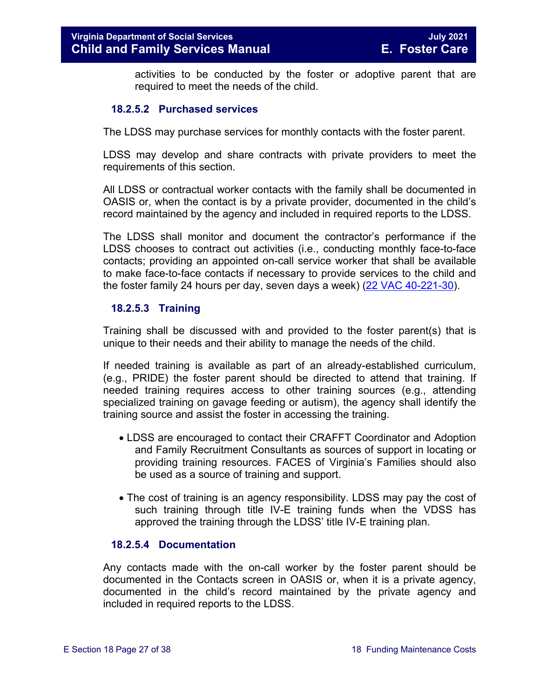activities to be conducted by the foster or adoptive parent that are required to meet the needs of the child.

#### **18.2.5.2 Purchased services**

The LDSS may purchase services for monthly contacts with the foster parent.

LDSS may develop and share contracts with private providers to meet the requirements of this section.

All LDSS or contractual worker contacts with the family shall be documented in OASIS or, when the contact is by a private provider, documented in the child's record maintained by the agency and included in required reports to the LDSS.

The LDSS shall monitor and document the contractor's performance if the LDSS chooses to contract out activities (i.e., conducting monthly face-to-face contacts; providing an appointed on-call service worker that shall be available to make face-to-face contacts if necessary to provide services to the child and the foster family 24 hours per day, seven days a week) [\(22 VAC 40-221-30\)](http://leg1.state.va.us/cgi-bin/legp504.exe?000+reg+22VAC40-221-30).

#### **18.2.5.3 Training**

Training shall be discussed with and provided to the foster parent(s) that is unique to their needs and their ability to manage the needs of the child.

If needed training is available as part of an already-established curriculum, (e.g., PRIDE) the foster parent should be directed to attend that training. If needed training requires access to other training sources (e.g., attending specialized training on gavage feeding or autism), the agency shall identify the training source and assist the foster in accessing the training.

- LDSS are encouraged to contact their CRAFFT Coordinator and Adoption and Family Recruitment Consultants as sources of support in locating or providing training resources. FACES of Virginia's Families should also be used as a source of training and support.
- The cost of training is an agency responsibility. LDSS may pay the cost of such training through title IV-E training funds when the VDSS has approved the training through the LDSS' title IV-E training plan.

#### **18.2.5.4 Documentation**

<span id="page-26-0"></span>Any contacts made with the on-call worker by the foster parent should be documented in the Contacts screen in OASIS or, when it is a private agency, documented in the child's record maintained by the private agency and included in required reports to the LDSS.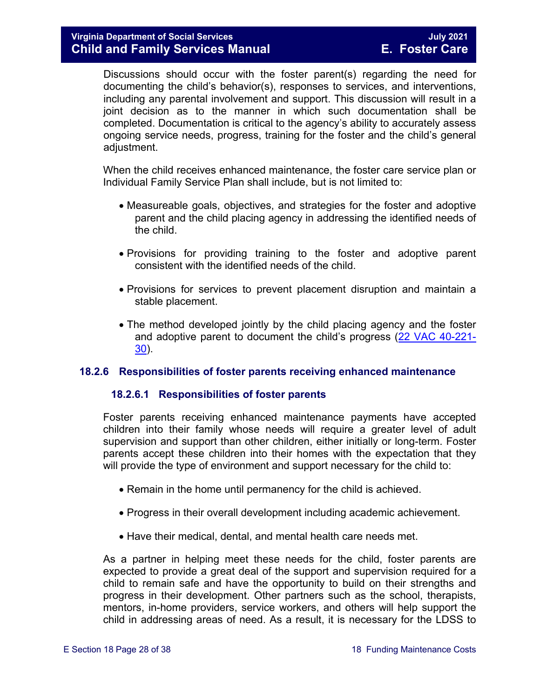Discussions should occur with the foster parent(s) regarding the need for documenting the child's behavior(s), responses to services, and interventions, including any parental involvement and support. This discussion will result in a joint decision as to the manner in which such documentation shall be completed. Documentation is critical to the agency's ability to accurately assess ongoing service needs, progress, training for the foster and the child's general adjustment.

When the child receives enhanced maintenance, the foster care service plan or Individual Family Service Plan shall include, but is not limited to:

- Measureable goals, objectives, and strategies for the foster and adoptive parent and the child placing agency in addressing the identified needs of the child.
- Provisions for providing training to the foster and adoptive parent consistent with the identified needs of the child.
- Provisions for services to prevent placement disruption and maintain a stable placement.
- The method developed jointly by the child placing agency and the foster and adoptive parent to document the child's progress [\(22 VAC 40-221-](http://leg1.state.va.us/cgi-bin/legp504.exe?000+reg+22VAC40-221-30) [30\)](http://leg1.state.va.us/cgi-bin/legp504.exe?000+reg+22VAC40-221-30).

#### <span id="page-27-0"></span>**18.2.6 Responsibilities of foster parents receiving enhanced maintenance**

#### **18.2.6.1 Responsibilities of foster parents**

Foster parents receiving enhanced maintenance payments have accepted children into their family whose needs will require a greater level of adult supervision and support than other children, either initially or long-term. Foster parents accept these children into their homes with the expectation that they will provide the type of environment and support necessary for the child to:

- Remain in the home until permanency for the child is achieved.
- Progress in their overall development including academic achievement.
- Have their medical, dental, and mental health care needs met.

As a partner in helping meet these needs for the child, foster parents are expected to provide a great deal of the support and supervision required for a child to remain safe and have the opportunity to build on their strengths and progress in their development. Other partners such as the school, therapists, mentors, in-home providers, service workers, and others will help support the child in addressing areas of need. As a result, it is necessary for the LDSS to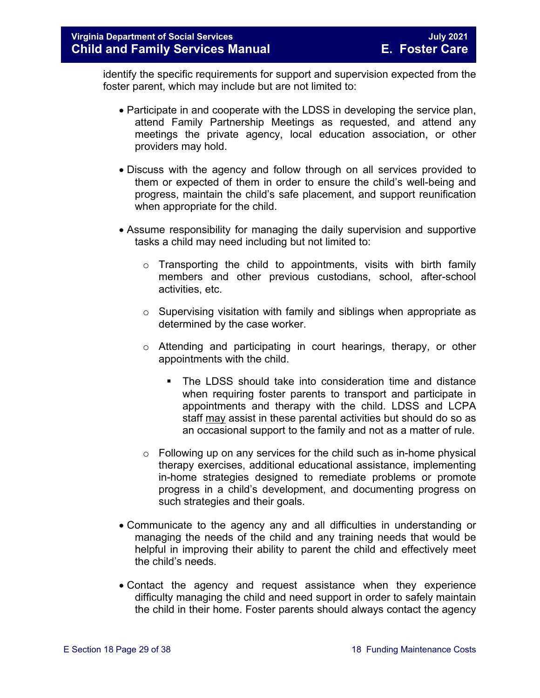identify the specific requirements for support and supervision expected from the foster parent, which may include but are not limited to:

- Participate in and cooperate with the LDSS in developing the service plan, attend Family Partnership Meetings as requested, and attend any meetings the private agency, local education association, or other providers may hold.
- Discuss with the agency and follow through on all services provided to them or expected of them in order to ensure the child's well-being and progress, maintain the child's safe placement, and support reunification when appropriate for the child.
- Assume responsibility for managing the daily supervision and supportive tasks a child may need including but not limited to:
	- $\circ$  Transporting the child to appointments, visits with birth family members and other previous custodians, school, after-school activities, etc.
	- $\circ$  Supervising visitation with family and siblings when appropriate as determined by the case worker.
	- o Attending and participating in court hearings, therapy, or other appointments with the child.
		- The LDSS should take into consideration time and distance when requiring foster parents to transport and participate in appointments and therapy with the child. LDSS and LCPA staff may assist in these parental activities but should do so as an occasional support to the family and not as a matter of rule.
	- $\circ$  Following up on any services for the child such as in-home physical therapy exercises, additional educational assistance, implementing in-home strategies designed to remediate problems or promote progress in a child's development, and documenting progress on such strategies and their goals.
- Communicate to the agency any and all difficulties in understanding or managing the needs of the child and any training needs that would be helpful in improving their ability to parent the child and effectively meet the child's needs.
- Contact the agency and request assistance when they experience difficulty managing the child and need support in order to safely maintain the child in their home. Foster parents should always contact the agency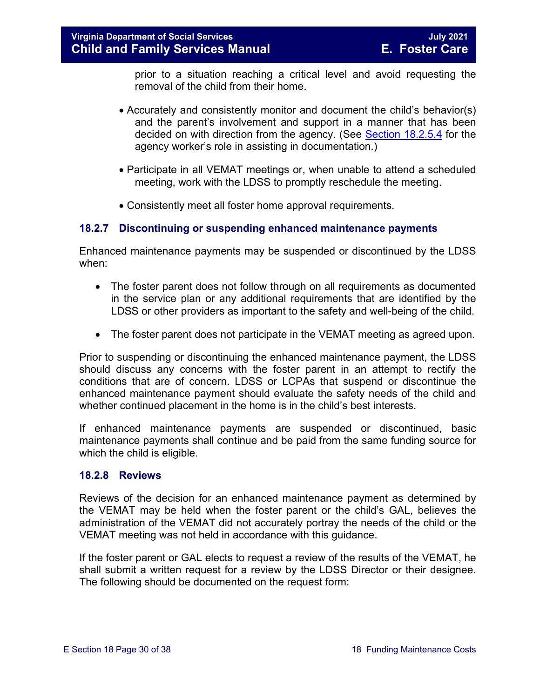prior to a situation reaching a critical level and avoid requesting the removal of the child from their home.

- Accurately and consistently monitor and document the child's behavior(s) and the parent's involvement and support in a manner that has been decided on with direction from the agency. (See [Section 18.2.5.4](#page-26-0) for the agency worker's role in assisting in documentation.)
- Participate in all VEMAT meetings or, when unable to attend a scheduled meeting, work with the LDSS to promptly reschedule the meeting.
- Consistently meet all foster home approval requirements.

#### <span id="page-29-0"></span>**18.2.7 Discontinuing or suspending enhanced maintenance payments**

Enhanced maintenance payments may be suspended or discontinued by the LDSS when:

- The foster parent does not follow through on all requirements as documented in the service plan or any additional requirements that are identified by the LDSS or other providers as important to the safety and well-being of the child.
- The foster parent does not participate in the VEMAT meeting as agreed upon.

Prior to suspending or discontinuing the enhanced maintenance payment, the LDSS should discuss any concerns with the foster parent in an attempt to rectify the conditions that are of concern. LDSS or LCPAs that suspend or discontinue the enhanced maintenance payment should evaluate the safety needs of the child and whether continued placement in the home is in the child's best interests.

If enhanced maintenance payments are suspended or discontinued, basic maintenance payments shall continue and be paid from the same funding source for which the child is eligible.

#### <span id="page-29-1"></span>**18.2.8 Reviews**

Reviews of the decision for an enhanced maintenance payment as determined by the VEMAT may be held when the foster parent or the child's GAL, believes the administration of the VEMAT did not accurately portray the needs of the child or the VEMAT meeting was not held in accordance with this guidance.

If the foster parent or GAL elects to request a review of the results of the VEMAT, he shall submit a written request for a review by the LDSS Director or their designee. The following should be documented on the request form: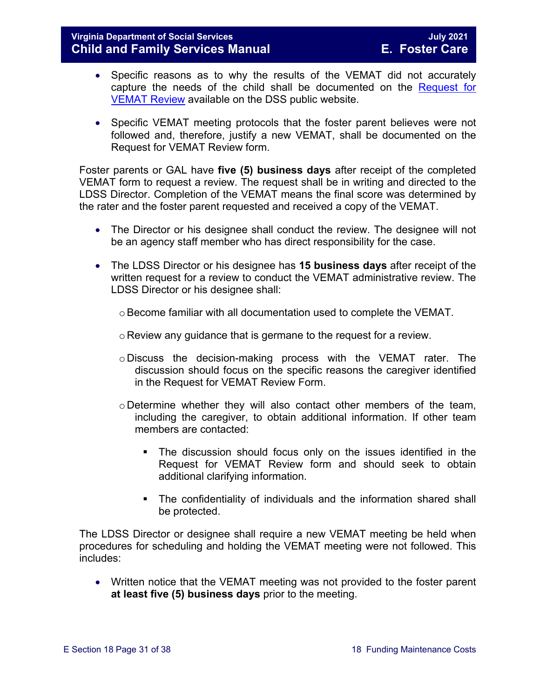#### **Virginia Department of Social Services July 2021 Child and Family Services Manual**

- Specific reasons as to why the results of the VEMAT did not accurately capture the needs of the child shall be documented on the [Request for](https://fusion.dss.virginia.gov/Portals/%5BDIS%5D/Files/032-04-0046-00-eng.doc)  [VEMAT Review](https://fusion.dss.virginia.gov/Portals/%5BDIS%5D/Files/032-04-0046-00-eng.doc) available on the DSS public website.
- Specific VEMAT meeting protocols that the foster parent believes were not followed and, therefore, justify a new VEMAT, shall be documented on the Request for VEMAT Review form.

Foster parents or GAL have **five (5) business days** after receipt of the completed VEMAT form to request a review. The request shall be in writing and directed to the LDSS Director. Completion of the VEMAT means the final score was determined by the rater and the foster parent requested and received a copy of the VEMAT.

- The Director or his designee shall conduct the review. The designee will not be an agency staff member who has direct responsibility for the case.
- The LDSS Director or his designee has **15 business days** after receipt of the written request for a review to conduct the VEMAT administrative review. The LDSS Director or his designee shall:
	- $\circ$  Become familiar with all documentation used to complete the VEMAT.
	- o Review any guidance that is germane to the request for a review.
	- o Discuss the decision-making process with the VEMAT rater. The discussion should focus on the specific reasons the caregiver identified in the Request for VEMAT Review Form.
	- o Determine whether they will also contact other members of the team, including the caregiver, to obtain additional information. If other team members are contacted:
		- The discussion should focus only on the issues identified in the Request for VEMAT Review form and should seek to obtain additional clarifying information.
		- The confidentiality of individuals and the information shared shall be protected.

The LDSS Director or designee shall require a new VEMAT meeting be held when procedures for scheduling and holding the VEMAT meeting were not followed. This includes:

• Written notice that the VEMAT meeting was not provided to the foster parent **at least five (5) business days** prior to the meeting.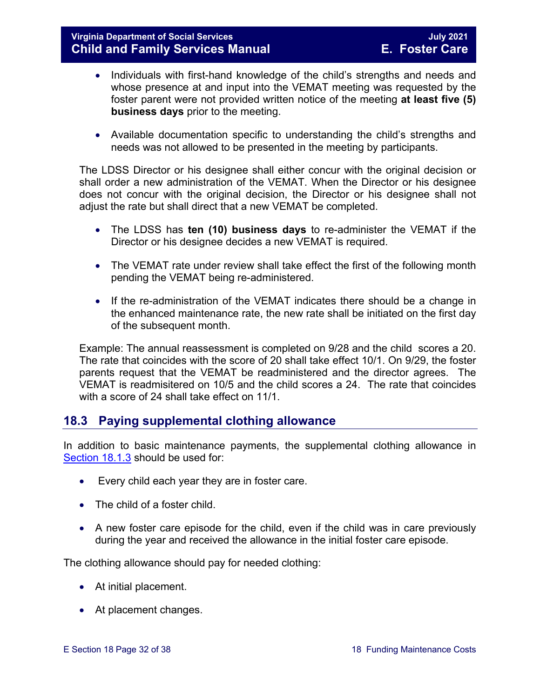- Individuals with first-hand knowledge of the child's strengths and needs and whose presence at and input into the VEMAT meeting was requested by the foster parent were not provided written notice of the meeting **at least five (5) business days** prior to the meeting.
- Available documentation specific to understanding the child's strengths and needs was not allowed to be presented in the meeting by participants.

The LDSS Director or his designee shall either concur with the original decision or shall order a new administration of the VEMAT. When the Director or his designee does not concur with the original decision, the Director or his designee shall not adjust the rate but shall direct that a new VEMAT be completed.

- The LDSS has **ten (10) business days** to re-administer the VEMAT if the Director or his designee decides a new VEMAT is required.
- The VEMAT rate under review shall take effect the first of the following month pending the VEMAT being re-administered.
- If the re-administration of the VEMAT indicates there should be a change in the enhanced maintenance rate, the new rate shall be initiated on the first day of the subsequent month.

Example: The annual reassessment is completed on 9/28 and the child scores a 20. The rate that coincides with the score of 20 shall take effect 10/1. On 9/29, the foster parents request that the VEMAT be readministered and the director agrees. The VEMAT is readmisitered on 10/5 and the child scores a 24. The rate that coincides with a score of 24 shall take effect on 11/1.

# <span id="page-31-0"></span>**18.3 Paying supplemental clothing allowance**

In addition to basic maintenance payments, the supplemental clothing allowance in [Section](#page-3-2) 18.1.3 should be used for:

- Every child each year they are in foster care.
- The child of a foster child.
- A new foster care episode for the child, even if the child was in care previously during the year and received the allowance in the initial foster care episode.

The clothing allowance should pay for needed clothing:

- At initial placement.
- At placement changes.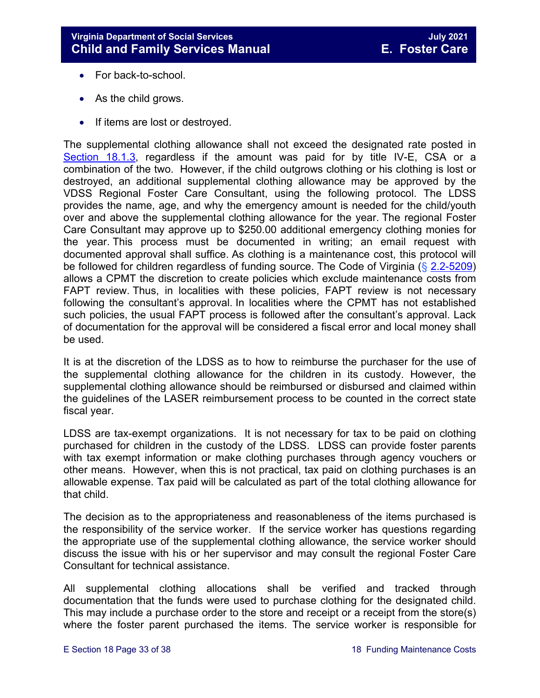- For back-to-school.
- As the child grows.
- If items are lost or destroyed.

The supplemental clothing allowance shall not exceed the designated rate posted in [Section 18.1.3,](#page-3-2) regardless if the amount was paid for by title IV-E, CSA or a combination of the two. However, if the child outgrows clothing or his clothing is lost or destroyed, an additional supplemental clothing allowance may be approved by the VDSS Regional Foster Care Consultant, using the following protocol. The LDSS provides the name, age, and why the emergency amount is needed for the child/youth over and above the supplemental clothing allowance for the year. The regional Foster Care Consultant may approve up to \$250.00 additional emergency clothing monies for the year. This process must be documented in writing; an email request with documented approval shall suffice. As clothing is a maintenance cost, this protocol will be followed for children regardless of funding source. The Code of Virginia (§ [2.2-5209\)](https://law.lis.virginia.go/vacode/2.2-5209/) allows a CPMT the discretion to create policies which exclude maintenance costs from FAPT review. Thus, in localities with these policies, FAPT review is not necessary following the consultant's approval. In localities where the CPMT has not established such policies, the usual FAPT process is followed after the consultant's approval. Lack of documentation for the approval will be considered a fiscal error and local money shall be used.

It is at the discretion of the LDSS as to how to reimburse the purchaser for the use of the supplemental clothing allowance for the children in its custody. However, the supplemental clothing allowance should be reimbursed or disbursed and claimed within the guidelines of the LASER reimbursement process to be counted in the correct state fiscal year.

LDSS are tax-exempt organizations. It is not necessary for tax to be paid on clothing purchased for children in the custody of the LDSS. LDSS can provide foster parents with tax exempt information or make clothing purchases through agency vouchers or other means. However, when this is not practical, tax paid on clothing purchases is an allowable expense. Tax paid will be calculated as part of the total clothing allowance for that child.

The decision as to the appropriateness and reasonableness of the items purchased is the responsibility of the service worker. If the service worker has questions regarding the appropriate use of the supplemental clothing allowance, the service worker should discuss the issue with his or her supervisor and may consult the regional Foster Care Consultant for technical assistance.

All supplemental clothing allocations shall be verified and tracked through documentation that the funds were used to purchase clothing for the designated child. This may include a purchase order to the store and receipt or a receipt from the store(s) where the foster parent purchased the items. The service worker is responsible for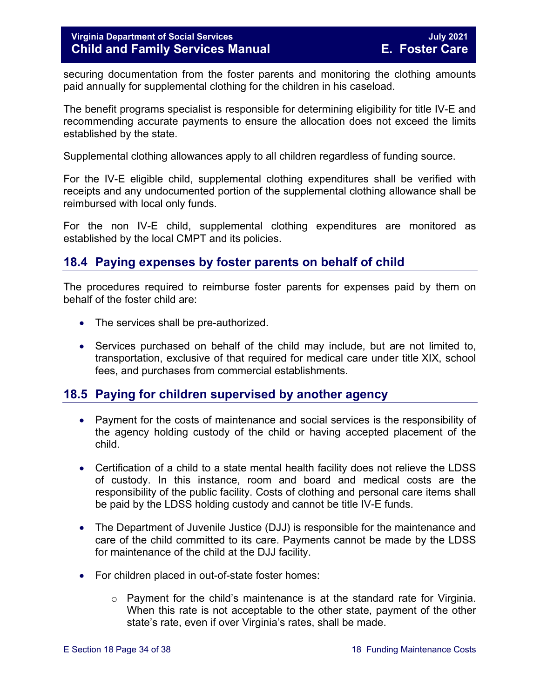securing documentation from the foster parents and monitoring the clothing amounts paid annually for supplemental clothing for the children in his caseload.

The benefit programs specialist is responsible for determining eligibility for title IV-E and recommending accurate payments to ensure the allocation does not exceed the limits established by the state.

Supplemental clothing allowances apply to all children regardless of funding source.

For the IV-E eligible child, supplemental clothing expenditures shall be verified with receipts and any undocumented portion of the supplemental clothing allowance shall be reimbursed with local only funds.

For the non IV-E child, supplemental clothing expenditures are monitored as established by the local CMPT and its policies.

# <span id="page-33-0"></span>**18.4 Paying expenses by foster parents on behalf of child**

The procedures required to reimburse foster parents for expenses paid by them on behalf of the foster child are:

- The services shall be pre-authorized.
- Services purchased on behalf of the child may include, but are not limited to, transportation, exclusive of that required for medical care under title XIX, school fees, and purchases from commercial establishments.

# <span id="page-33-1"></span>**18.5 Paying for children supervised by another agency**

- Payment for the costs of maintenance and social services is the responsibility of the agency holding custody of the child or having accepted placement of the child.
- Certification of a child to a state mental health facility does not relieve the LDSS of custody. In this instance, room and board and medical costs are the responsibility of the public facility. Costs of clothing and personal care items shall be paid by the LDSS holding custody and cannot be title IV-E funds.
- The Department of Juvenile Justice (DJJ) is responsible for the maintenance and care of the child committed to its care. Payments cannot be made by the LDSS for maintenance of the child at the DJJ facility.
- For children placed in out-of-state foster homes:
	- $\circ$  Payment for the child's maintenance is at the standard rate for Virginia. When this rate is not acceptable to the other state, payment of the other state's rate, even if over Virginia's rates, shall be made.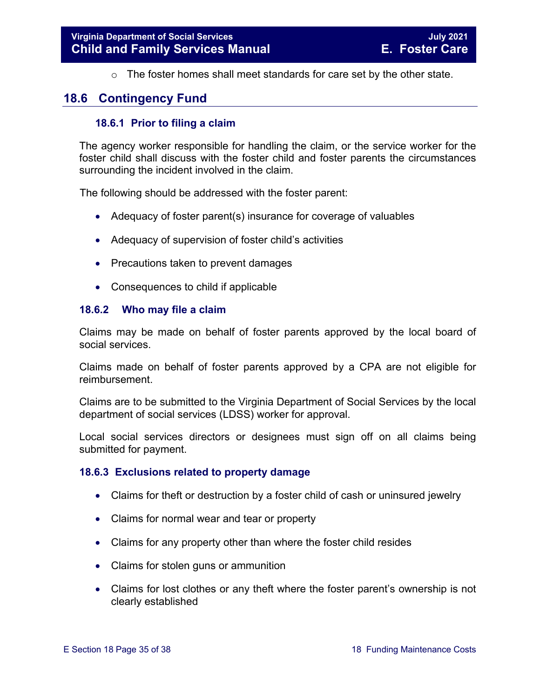<span id="page-34-0"></span> $\circ$  The foster homes shall meet standards for care set by the other state.

# <span id="page-34-1"></span>**18.6 Contingency Fund**

#### **18.6.1 Prior to filing a claim**

The agency worker responsible for handling the claim, or the service worker for the foster child shall discuss with the foster child and foster parents the circumstances surrounding the incident involved in the claim.

The following should be addressed with the foster parent:

- Adequacy of foster parent(s) insurance for coverage of valuables
- Adequacy of supervision of foster child's activities
- Precautions taken to prevent damages
- <span id="page-34-2"></span>• Consequences to child if applicable

#### **18.6.2 Who may file a claim**

Claims may be made on behalf of foster parents approved by the local board of social services.

Claims made on behalf of foster parents approved by a CPA are not eligible for reimbursement.

Claims are to be submitted to the Virginia Department of Social Services by the local department of social services (LDSS) worker for approval.

Local social services directors or designees must sign off on all claims being submitted for payment.

#### <span id="page-34-3"></span>**18.6.3 Exclusions related to property damage**

- Claims for theft or destruction by a foster child of cash or uninsured jewelry
- Claims for normal wear and tear or property
- Claims for any property other than where the foster child resides
- Claims for stolen guns or ammunition
- Claims for lost clothes or any theft where the foster parent's ownership is not clearly established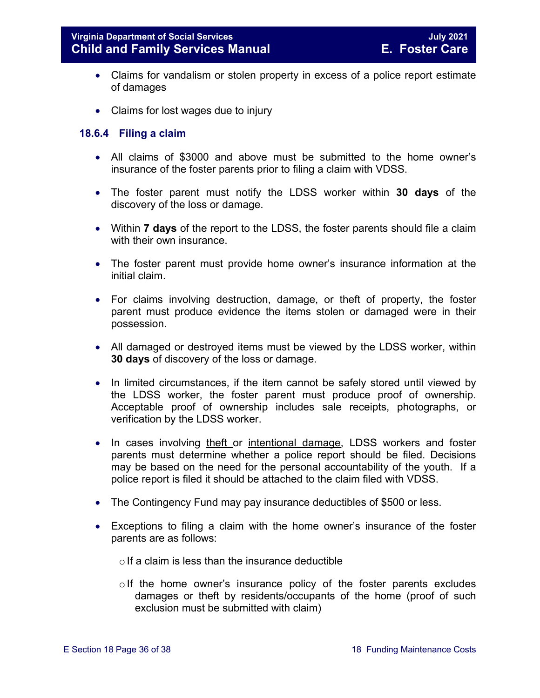- Claims for vandalism or stolen property in excess of a police report estimate of damages
- Claims for lost wages due to injury

#### <span id="page-35-0"></span>**18.6.4 Filing a claim**

- All claims of \$3000 and above must be submitted to the home owner's insurance of the foster parents prior to filing a claim with VDSS.
- The foster parent must notify the LDSS worker within **30 days** of the discovery of the loss or damage.
- Within **7 days** of the report to the LDSS, the foster parents should file a claim with their own insurance.
- The foster parent must provide home owner's insurance information at the initial claim.
- For claims involving destruction, damage, or theft of property, the foster parent must produce evidence the items stolen or damaged were in their possession.
- All damaged or destroyed items must be viewed by the LDSS worker, within **30 days** of discovery of the loss or damage.
- In limited circumstances, if the item cannot be safely stored until viewed by the LDSS worker, the foster parent must produce proof of ownership. Acceptable proof of ownership includes sale receipts, photographs, or verification by the LDSS worker.
- In cases involving theft or intentional damage, LDSS workers and foster parents must determine whether a police report should be filed. Decisions may be based on the need for the personal accountability of the youth. If a police report is filed it should be attached to the claim filed with VDSS.
- The Contingency Fund may pay insurance deductibles of \$500 or less.
- Exceptions to filing a claim with the home owner's insurance of the foster parents are as follows:
	- $\circ$  If a claim is less than the insurance deductible
	- $\circ$  If the home owner's insurance policy of the foster parents excludes damages or theft by residents/occupants of the home (proof of such exclusion must be submitted with claim)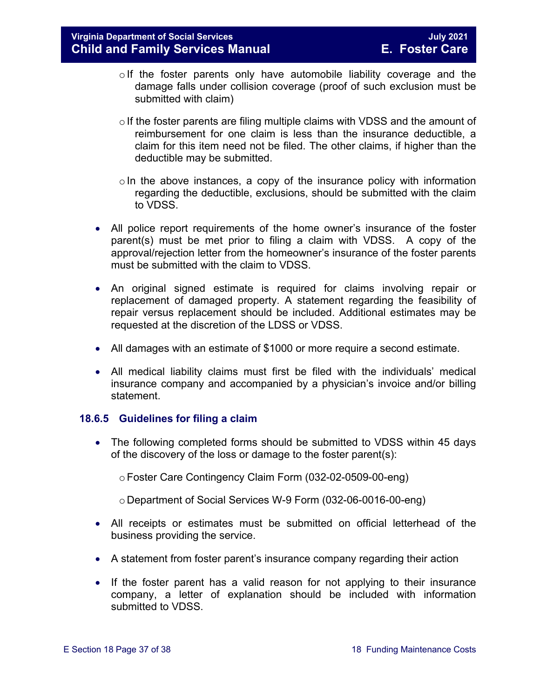- $\circ$  If the foster parents only have automobile liability coverage and the damage falls under collision coverage (proof of such exclusion must be submitted with claim)
- $\circ$  If the foster parents are filing multiple claims with VDSS and the amount of reimbursement for one claim is less than the insurance deductible, a claim for this item need not be filed. The other claims, if higher than the deductible may be submitted.
- $\circ$  In the above instances, a copy of the insurance policy with information regarding the deductible, exclusions, should be submitted with the claim to VDSS.
- All police report requirements of the home owner's insurance of the foster parent(s) must be met prior to filing a claim with VDSS. A copy of the approval/rejection letter from the homeowner's insurance of the foster parents must be submitted with the claim to VDSS.
- An original signed estimate is required for claims involving repair or replacement of damaged property. A statement regarding the feasibility of repair versus replacement should be included. Additional estimates may be requested at the discretion of the LDSS or VDSS.
- All damages with an estimate of \$1000 or more require a second estimate.
- All medical liability claims must first be filed with the individuals' medical insurance company and accompanied by a physician's invoice and/or billing statement.

#### <span id="page-36-0"></span>**18.6.5 Guidelines for filing a claim**

- The following completed forms should be submitted to VDSS within 45 days of the discovery of the loss or damage to the foster parent(s):
	- oFoster Care Contingency Claim Form (032-02-0509-00-eng)
	- o Department of Social Services W-9 Form (032-06-0016-00-eng)
- All receipts or estimates must be submitted on official letterhead of the business providing the service.
- A statement from foster parent's insurance company regarding their action
- If the foster parent has a valid reason for not applying to their insurance company, a letter of explanation should be included with information submitted to VDSS.